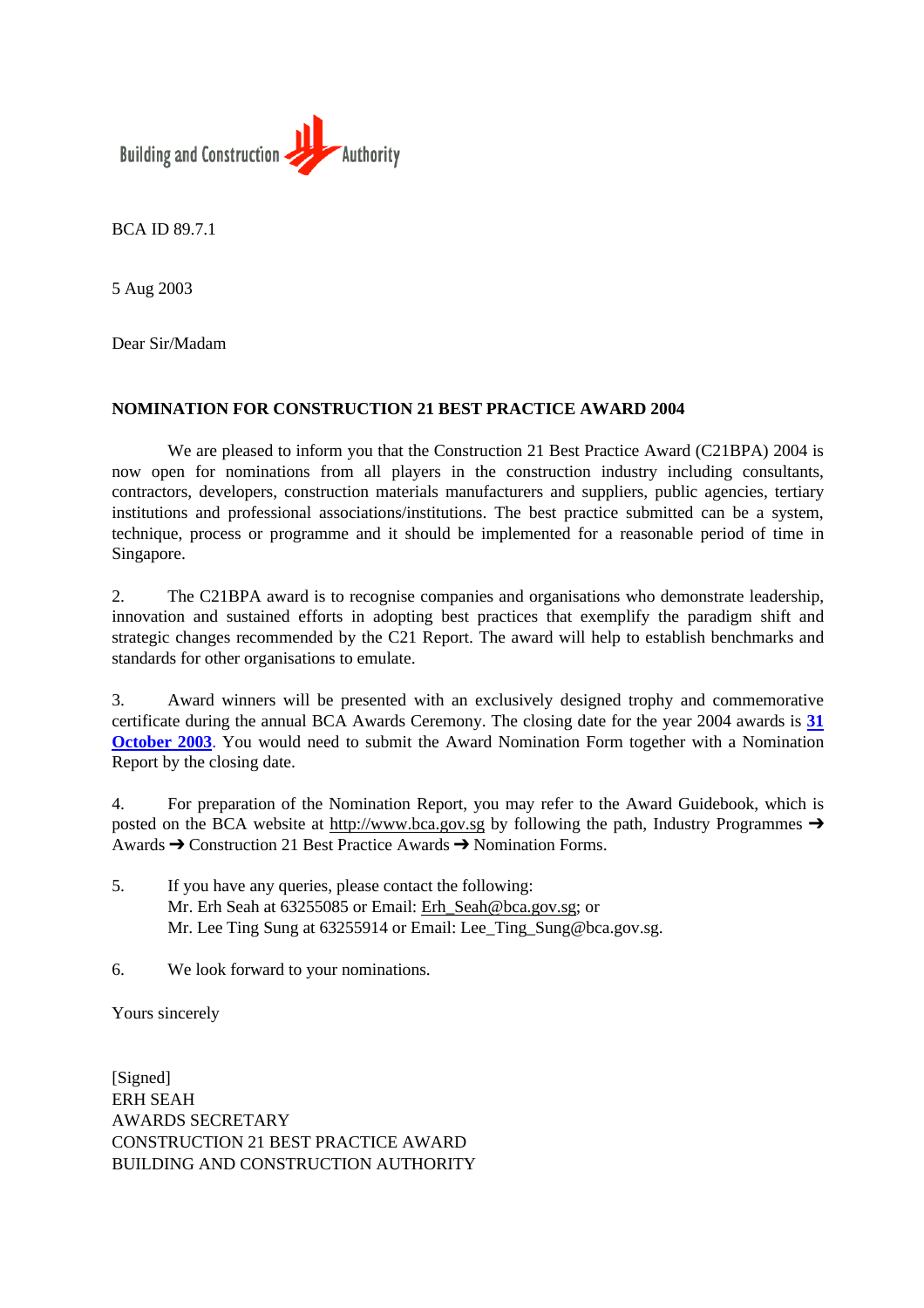

BCA ID 89.7.1

5 Aug 2003

Dear Sir/Madam

#### **NOMINATION FOR CONSTRUCTION 21 BEST PRACTICE AWARD 2004**

We are pleased to inform you that the Construction 21 Best Practice Award (C21BPA) 2004 is now open for nominations from all players in the construction industry including consultants, contractors, developers, construction materials manufacturers and suppliers, public agencies, tertiary institutions and professional associations/institutions. The best practice submitted can be a system, technique, process or programme and it should be implemented for a reasonable period of time in Singapore.

2. The C21BPA award is to recognise companies and organisations who demonstrate leadership, innovation and sustained efforts in adopting best practices that exemplify the paradigm shift and strategic changes recommended by the C21 Report. The award will help to establish benchmarks and standards for other organisations to emulate.

3. Award winners will be presented with an exclusively designed trophy and commemorative certificate during the annual BCA Awards Ceremony. The closing date for the year 2004 awards is **31 October 2003**. You would need to submit the Award Nomination Form together with a Nomination Report by the closing date.

4. For preparation of the Nomination Report, you may refer to the Award Guidebook, which is posted on the BCA website at http://www.bca.gov.sg by following the path, Industry Programmes  $\rightarrow$ Awards  $\rightarrow$  Construction 21 Best Practice Awards  $\rightarrow$  Nomination Forms.

5. If you have any queries, please contact the following: Mr. Erh Seah at 63255[085 or Email: Erh\\_Seah@](http://www.bca.gov.sg)bca.gov.sg; or Mr. Lee Ting Sung at 63255914 or Email: Lee\_Ting\_Sung@bca.gov.sg.

6. We look forward to your nominations.

Yours sincerely

[Signed] ERH SEAH AWARDS SECRETARY CONSTRUCTION 21 BEST PRACTICE AWARD BUILDING AND CONSTRUCTION AUTHORITY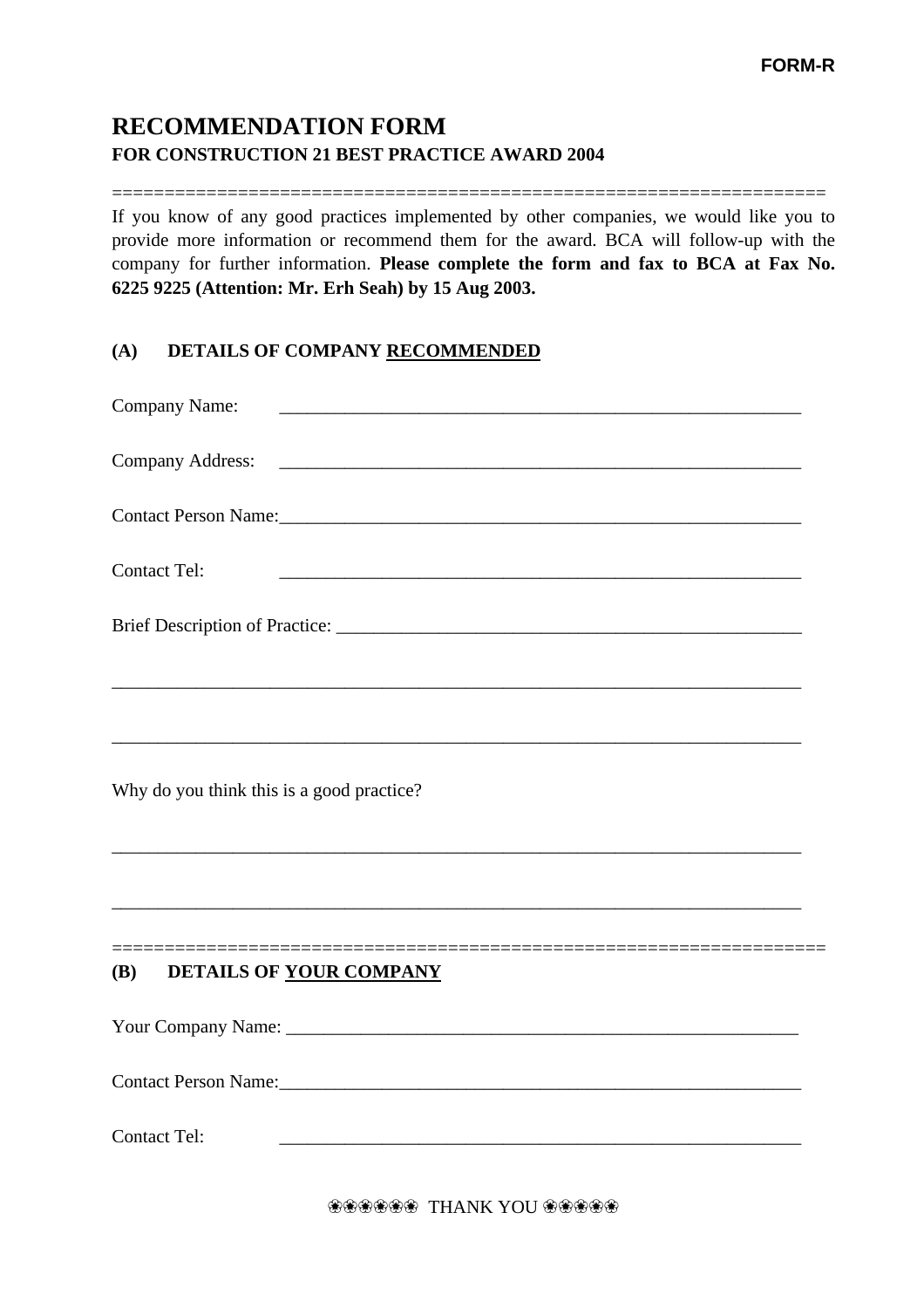## **RECOMMENDATION FORM FOR CONSTRUCTION 21 BEST PRACTICE AWARD 2004**

==================================================================== If you know of any good practices implemented by other companies, we would like you to provide more information or recommend them for the award. BCA will follow-up with the company for further information. **Please complete the form and fax to BCA at Fax No. 6225 9225 (Attention: Mr. Erh Seah) by 15 Aug 2003.**

#### **(A) DETAILS OF COMPANY RECOMMENDED**

| Company Name:                                                                                                                                                                                                                  |
|--------------------------------------------------------------------------------------------------------------------------------------------------------------------------------------------------------------------------------|
| <b>Company Address:</b>                                                                                                                                                                                                        |
| Contact Person Name: Manner Contact Person Name:                                                                                                                                                                               |
| <b>Contact Tel:</b>                                                                                                                                                                                                            |
|                                                                                                                                                                                                                                |
|                                                                                                                                                                                                                                |
| Why do you think this is a good practice?                                                                                                                                                                                      |
|                                                                                                                                                                                                                                |
| <b>(B)</b><br>DETAILS OF YOUR COMPANY                                                                                                                                                                                          |
|                                                                                                                                                                                                                                |
| Contact Person Name: 1988 and 2008 and 2008 and 2008 and 2008 and 2008 and 2008 and 2008 and 2008 and 2008 and 2008 and 2008 and 2008 and 2008 and 2008 and 2008 and 2008 and 2008 and 2008 and 2008 and 2008 and 2008 and 200 |
| <b>Contact Tel:</b>                                                                                                                                                                                                            |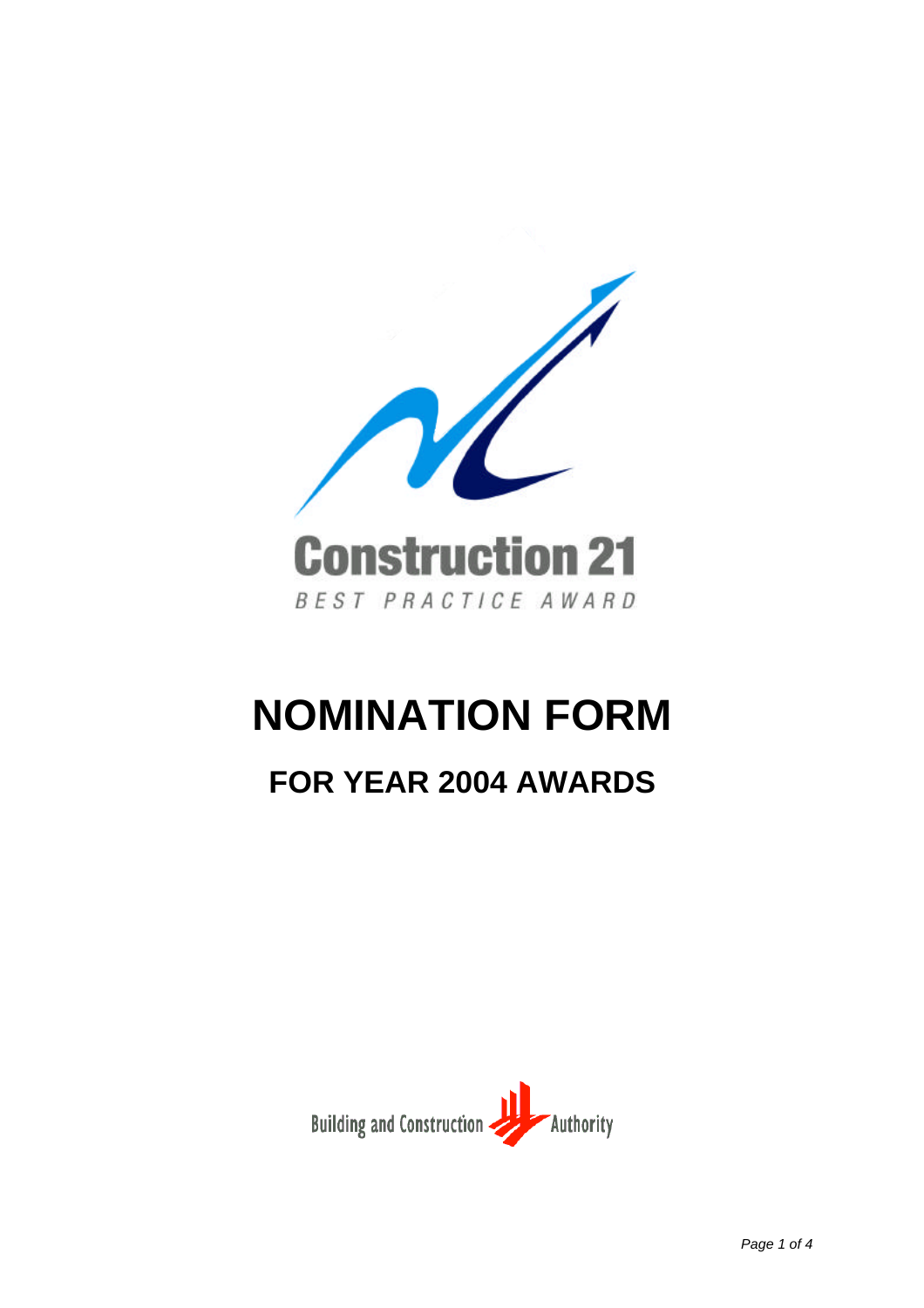

# **NOMINATION FORM**

# **FOR YEAR 2004 AWARDS**

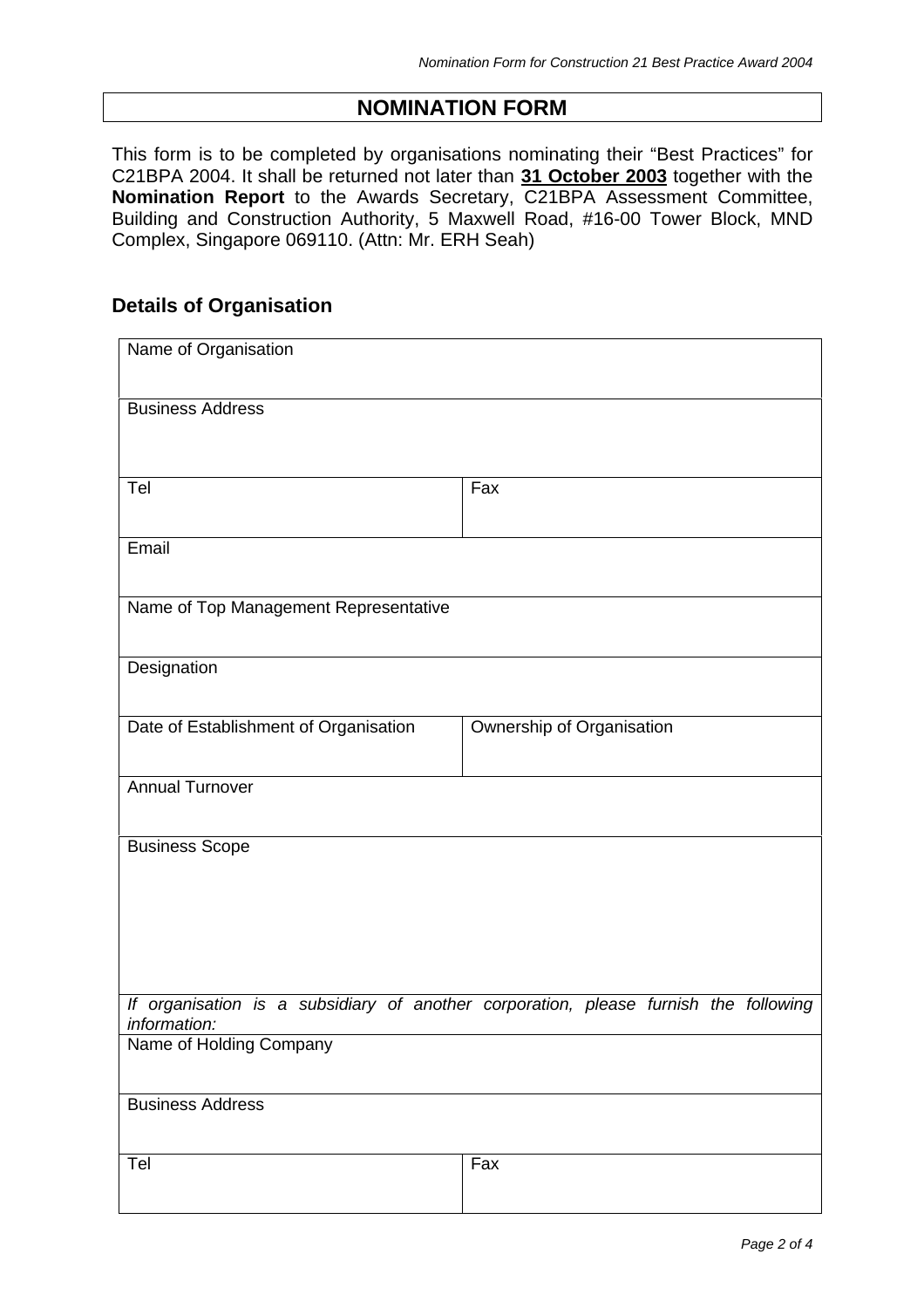#### **NOMINATION FORM**

This form is to be completed by organisations nominating their "Best Practices" for C21BPA 2004. It shall be returned not later than **31 October 2003** together with the **Nomination Report** to the Awards Secretary, C21BPA Assessment Committee, Building and Construction Authority, 5 Maxwell Road, #16-00 Tower Block, MND Complex, Singapore 069110. (Attn: Mr. ERH Seah)

#### **Details of Organisation**

| Name of Organisation                  |                                                                                      |
|---------------------------------------|--------------------------------------------------------------------------------------|
| <b>Business Address</b>               |                                                                                      |
| Tel                                   | Fax                                                                                  |
| Email                                 |                                                                                      |
| Name of Top Management Representative |                                                                                      |
| Designation                           |                                                                                      |
| Date of Establishment of Organisation | Ownership of Organisation                                                            |
| <b>Annual Turnover</b>                |                                                                                      |
| <b>Business Scope</b>                 |                                                                                      |
| information:                          | If organisation is a subsidiary of another corporation, please furnish the following |
| Name of Holding Company               |                                                                                      |
| <b>Business Address</b>               |                                                                                      |
| Tel                                   | Fax                                                                                  |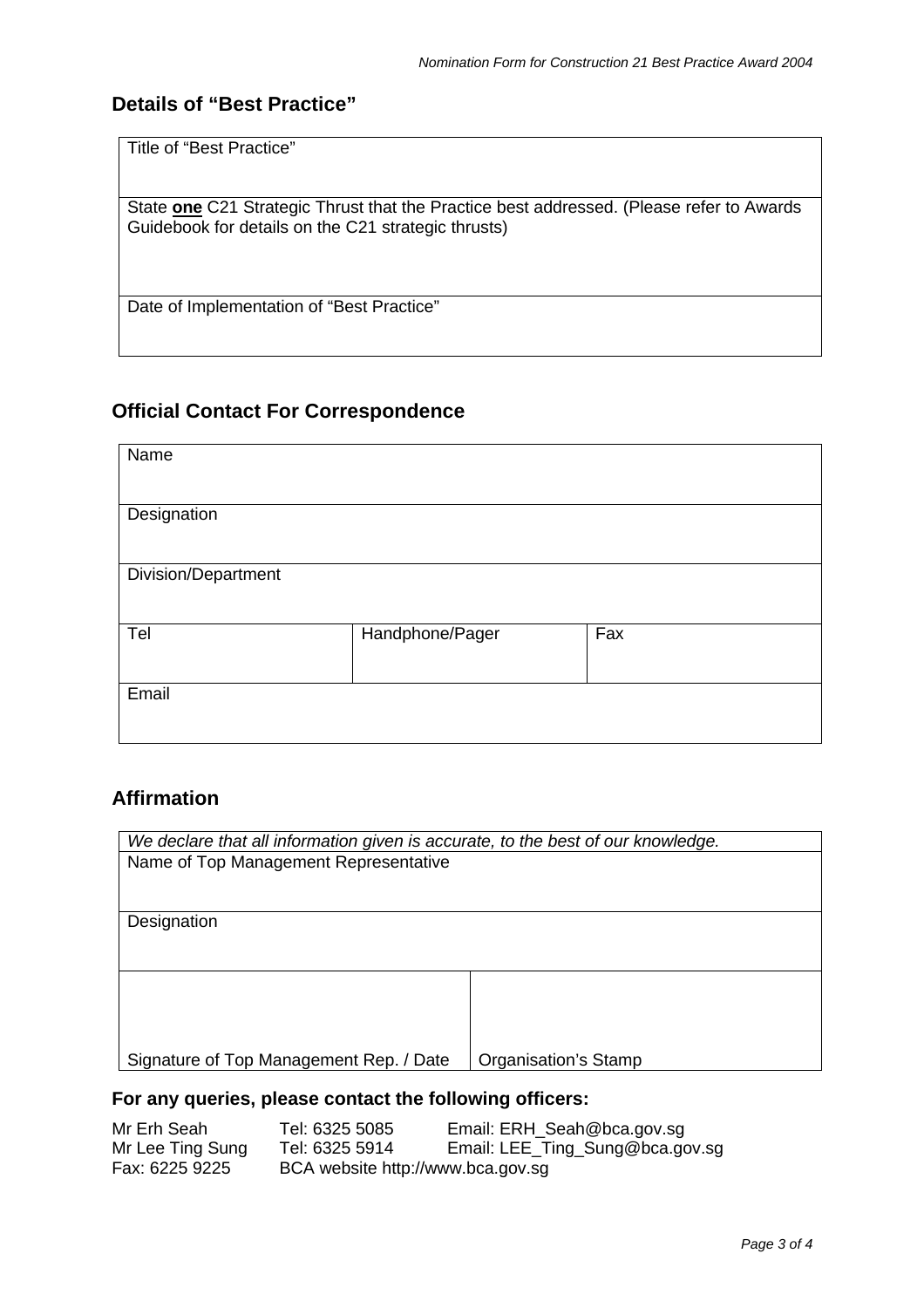### **Details of "Best Practice"**

State **one** C21 Strategic Thrust that the Practice best addressed. (Please refer to Awards Guidebook for details on the C21 strategic thrusts)

Date of Implementation of "Best Practice"

#### **Official Contact For Correspondence**

| Name                |                 |     |
|---------------------|-----------------|-----|
| Designation         |                 |     |
| Division/Department |                 |     |
| Tel                 | Handphone/Pager | Fax |
| Email               |                 |     |

### **Affirmation**

| We declare that all information given is accurate, to the best of our knowledge. |                      |  |  |
|----------------------------------------------------------------------------------|----------------------|--|--|
| Name of Top Management Representative                                            |                      |  |  |
|                                                                                  |                      |  |  |
|                                                                                  |                      |  |  |
| Designation                                                                      |                      |  |  |
|                                                                                  |                      |  |  |
|                                                                                  |                      |  |  |
|                                                                                  |                      |  |  |
|                                                                                  |                      |  |  |
|                                                                                  |                      |  |  |
| Signature of Top Management Rep. / Date                                          | Organisation's Stamp |  |  |
|                                                                                  |                      |  |  |

#### **For any queries, please contact the following officers:**

| Mr Erh Seah      | Tel: 6325 5085                    | Email: ERH_Seah@bca.gov.sg      |
|------------------|-----------------------------------|---------------------------------|
| Mr Lee Ting Sung | Tel: 6325 5914                    | Email: LEE_Ting_Sung@bca.gov.sg |
| Fax: 6225 9225   | BCA website http://www.bca.gov.sg |                                 |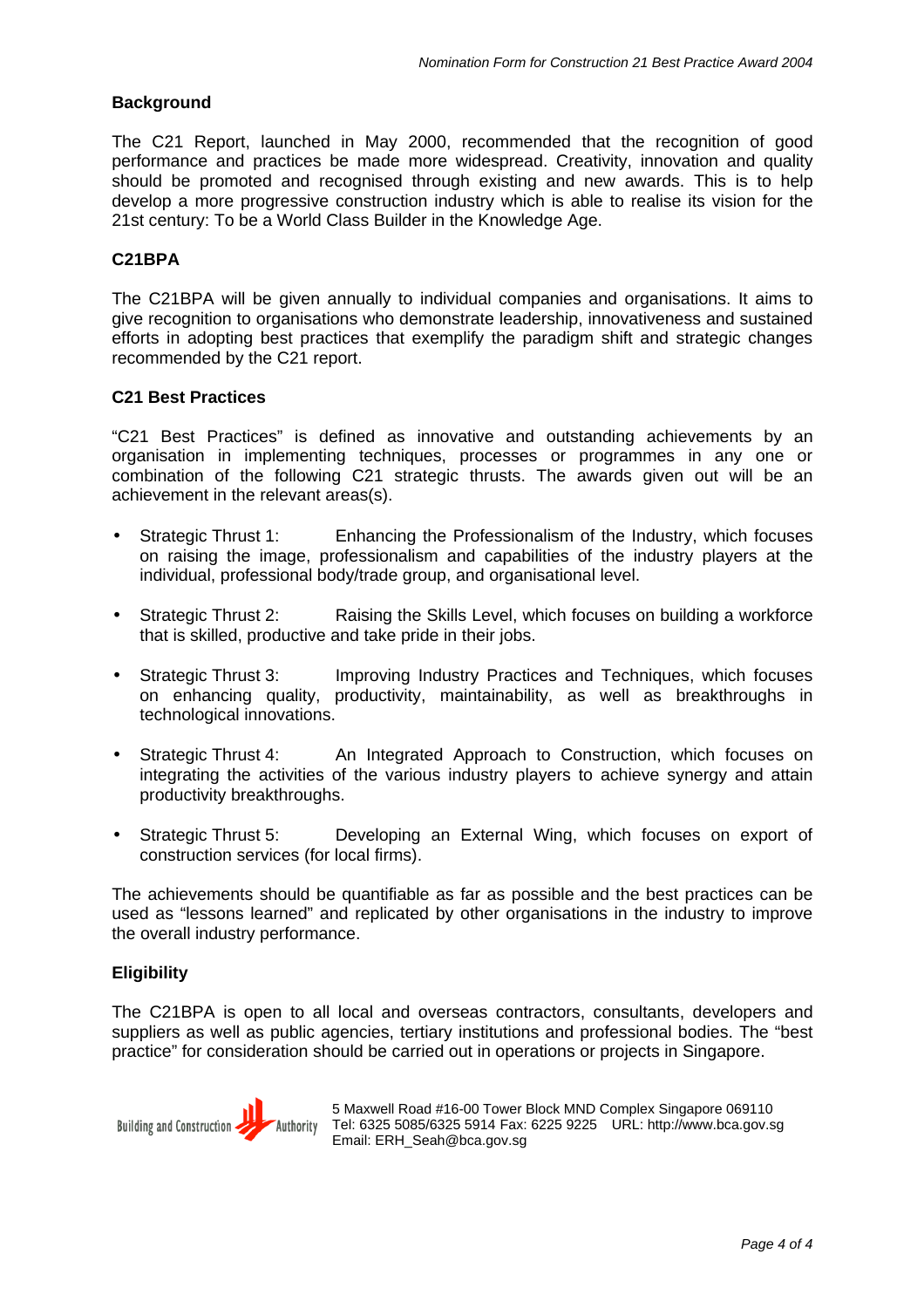#### **Background**

The C21 Report, launched in May 2000, recommended that the recognition of good performance and practices be made more widespread. Creativity, innovation and quality should be promoted and recognised through existing and new awards. This is to help develop a more progressive construction industry which is able to realise its vision for the 21st century: To be a World Class Builder in the Knowledge Age.

#### **C21BPA**

The C21BPA will be given annually to individual companies and organisations. It aims to give recognition to organisations who demonstrate leadership, innovativeness and sustained efforts in adopting best practices that exemplify the paradigm shift and strategic changes recommended by the C21 report.

#### **C21 Best Practices**

"C21 Best Practices" is defined as innovative and outstanding achievements by an organisation in implementing techniques, processes or programmes in any one or combination of the following C21 strategic thrusts. The awards given out will be an achievement in the relevant areas(s).

- Strategic Thrust 1: Enhancing the Professionalism of the Industry, which focuses on raising the image, professionalism and capabilities of the industry players at the individual, professional body/trade group, and organisational level.
- Strategic Thrust 2: Raising the Skills Level, which focuses on building a workforce that is skilled, productive and take pride in their jobs.
- Strategic Thrust 3: Improving Industry Practices and Techniques, which focuses on enhancing quality, productivity, maintainability, as well as breakthroughs in technological innovations.
- Strategic Thrust 4: An Integrated Approach to Construction, which focuses on integrating the activities of the various industry players to achieve synergy and attain productivity breakthroughs.
- Strategic Thrust 5: Developing an External Wing, which focuses on export of construction services (for local firms).

The achievements should be quantifiable as far as possible and the best practices can be used as "lessons learned" and replicated by other organisations in the industry to improve the overall industry performance.

#### **Eligibility**

The C21BPA is open to all local and overseas contractors, consultants, developers and suppliers as well as public agencies, tertiary institutions and professional bodies. The "best practice" for consideration should be carried out in operations or projects in Singapore.



5 Maxwell Road #16-00 Tower Block MND Complex Singapore 069110 Tel: 6325 5085/6325 5914 Fax: 6225 9225 URL: http://www.bca.gov.sg Email: ERH\_Seah@bca.gov.sg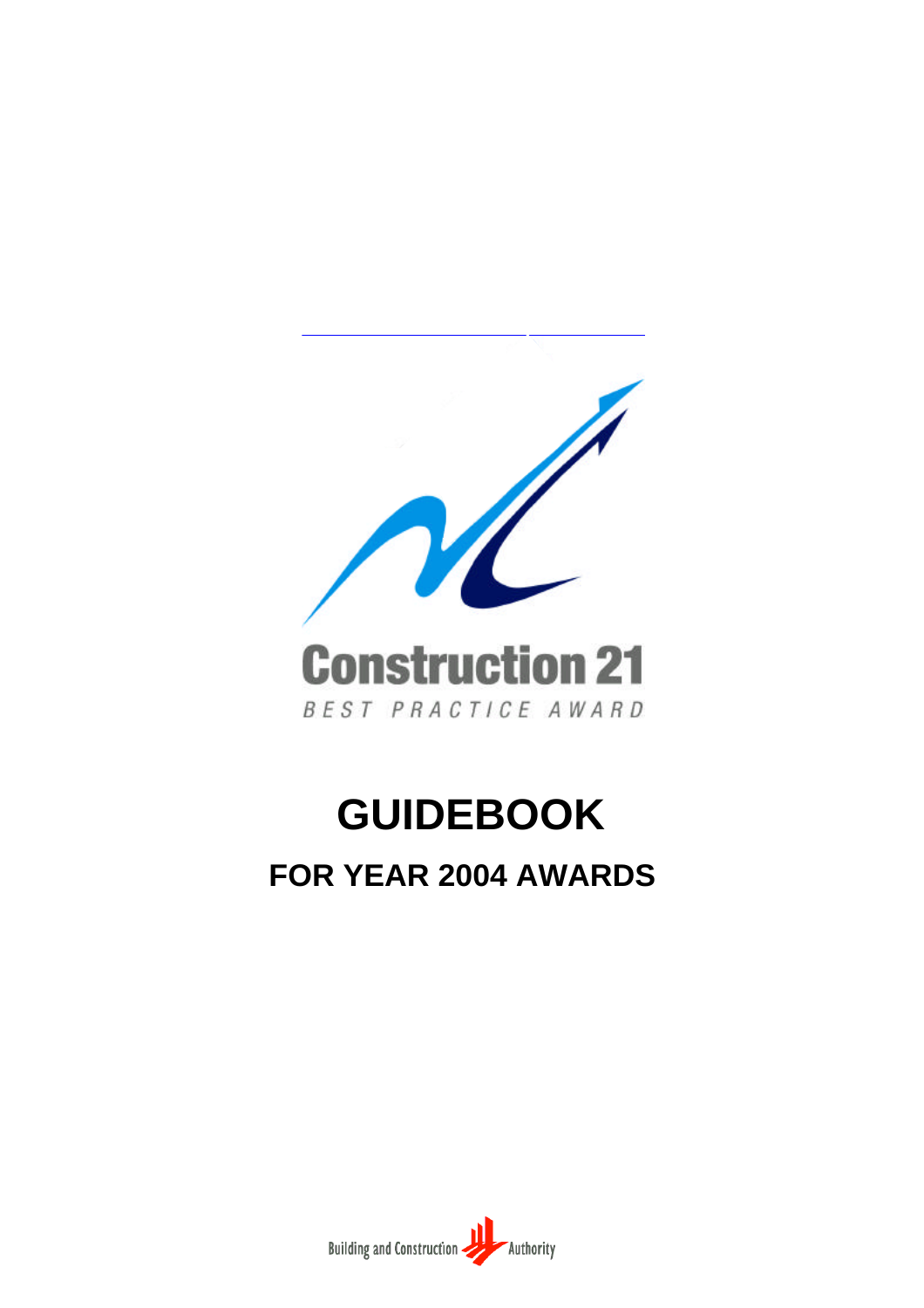

# **GUIDEBOOK**

# **FOR YEAR 2004 AWARDS**

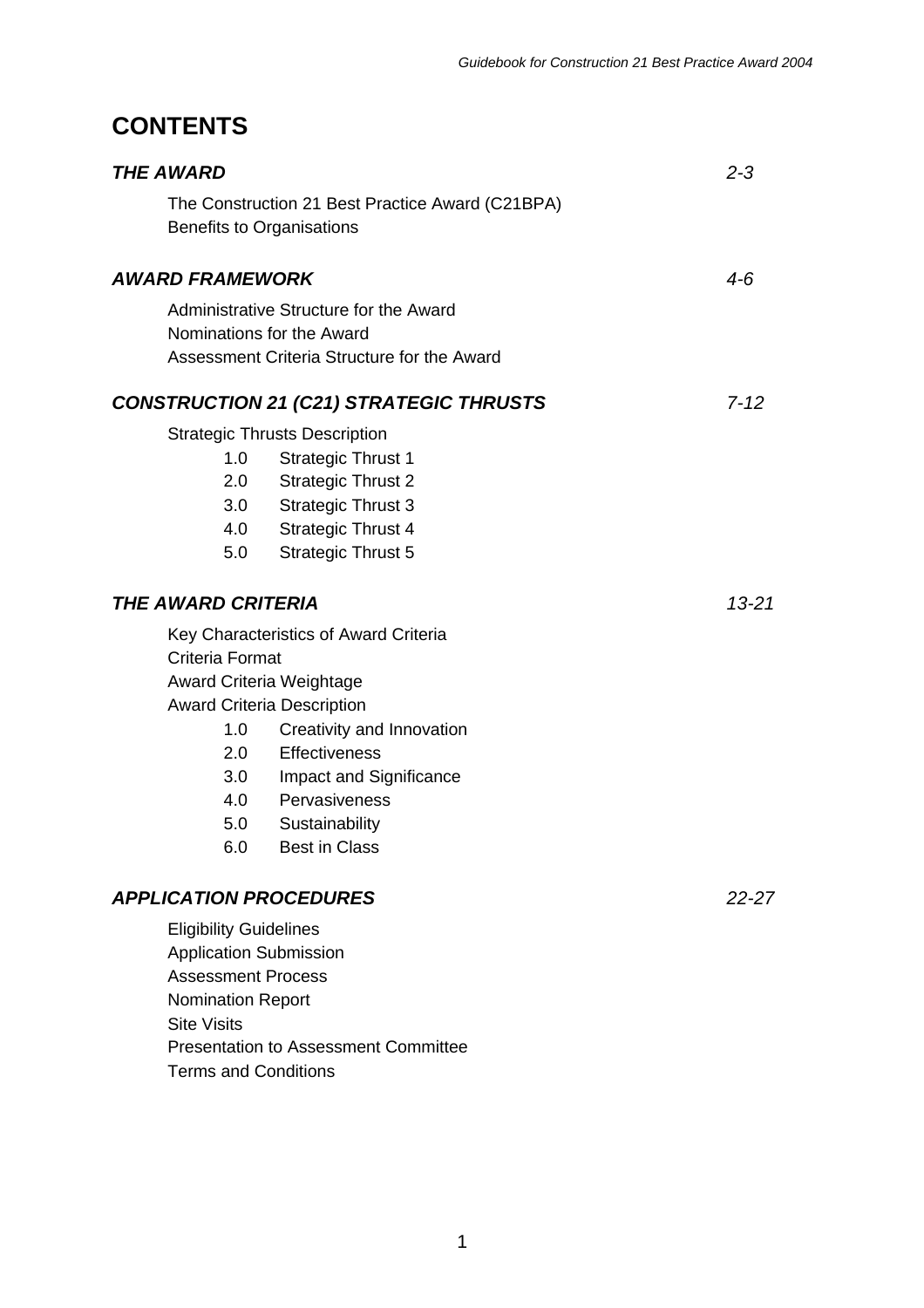## **CONTENTS**

| <b>THE AWARD</b>                                                                                                                                                               |                                                                                                                                                                                                                                                    | $2 - 3$   |
|--------------------------------------------------------------------------------------------------------------------------------------------------------------------------------|----------------------------------------------------------------------------------------------------------------------------------------------------------------------------------------------------------------------------------------------------|-----------|
|                                                                                                                                                                                | The Construction 21 Best Practice Award (C21BPA)<br><b>Benefits to Organisations</b>                                                                                                                                                               |           |
| <b>AWARD FRAMEWORK</b>                                                                                                                                                         |                                                                                                                                                                                                                                                    | 4-6       |
|                                                                                                                                                                                | Administrative Structure for the Award<br>Nominations for the Award<br>Assessment Criteria Structure for the Award                                                                                                                                 |           |
|                                                                                                                                                                                | <b>CONSTRUCTION 21 (C21) STRATEGIC THRUSTS</b>                                                                                                                                                                                                     | $7 - 12$  |
| 1.0<br>2.0<br>5.0                                                                                                                                                              | <b>Strategic Thrusts Description</b><br><b>Strategic Thrust 1</b><br><b>Strategic Thrust 2</b><br>3.0 Strategic Thrust 3<br>4.0 Strategic Thrust 4<br><b>Strategic Thrust 5</b>                                                                    |           |
| <b>THE AWARD CRITERIA</b>                                                                                                                                                      |                                                                                                                                                                                                                                                    | $13 - 21$ |
| Criteria Format<br>1.0<br>3.0<br>5.0<br>6.0                                                                                                                                    | Key Characteristics of Award Criteria<br>Award Criteria Weightage<br><b>Award Criteria Description</b><br>Creativity and Innovation<br>2.0 Effectiveness<br>Impact and Significance<br>4.0 Pervasiveness<br>Sustainability<br><b>Best in Class</b> |           |
| <b>APPLICATION PROCEDURES</b><br><b>Eligibility Guidelines</b><br><b>Application Submission</b><br><b>Assessment Process</b><br><b>Nomination Report</b><br><b>Site Visits</b> |                                                                                                                                                                                                                                                    | $22 - 27$ |
|                                                                                                                                                                                | <b>Presentation to Assessment Committee</b>                                                                                                                                                                                                        |           |

Terms and Conditions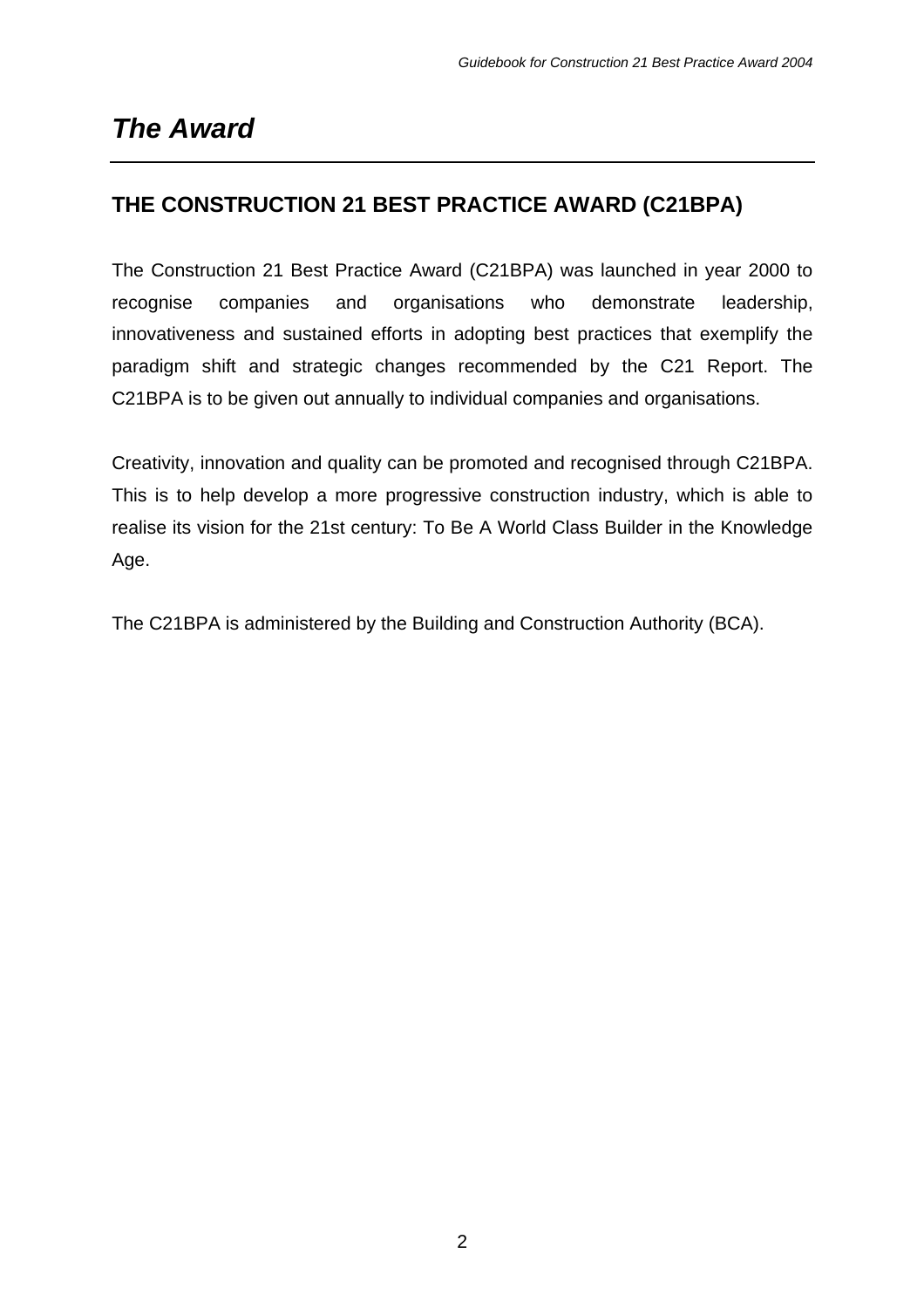# *The Award*

## **THE CONSTRUCTION 21 BEST PRACTICE AWARD (C21BPA)**

The Construction 21 Best Practice Award (C21BPA) was launched in year 2000 to recognise companies and organisations who demonstrate leadership, innovativeness and sustained efforts in adopting best practices that exemplify the paradigm shift and strategic changes recommended by the C21 Report. The C21BPA is to be given out annually to individual companies and organisations.

Creativity, innovation and quality can be promoted and recognised through C21BPA. This is to help develop a more progressive construction industry, which is able to realise its vision for the 21st century: To Be A World Class Builder in the Knowledge Age.

The C21BPA is administered by the Building and Construction Authority (BCA).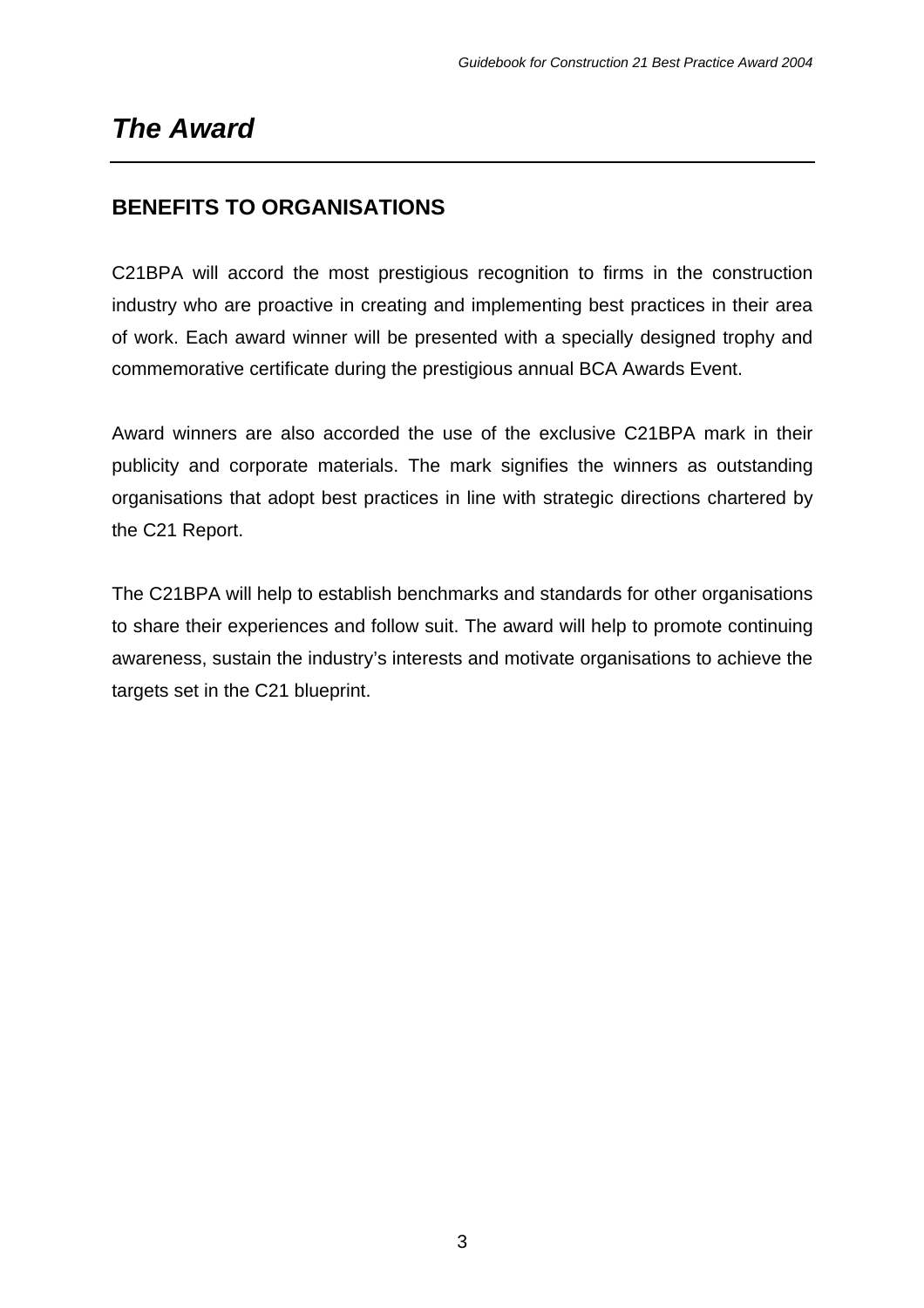# *The Award*

## **BENEFITS TO ORGANISATIONS**

C21BPA will accord the most prestigious recognition to firms in the construction industry who are proactive in creating and implementing best practices in their area of work. Each award winner will be presented with a specially designed trophy and commemorative certificate during the prestigious annual BCA Awards Event.

Award winners are also accorded the use of the exclusive C21BPA mark in their publicity and corporate materials. The mark signifies the winners as outstanding organisations that adopt best practices in line with strategic directions chartered by the C21 Report.

The C21BPA will help to establish benchmarks and standards for other organisations to share their experiences and follow suit. The award will help to promote continuing awareness, sustain the industry's interests and motivate organisations to achieve the targets set in the C21 blueprint.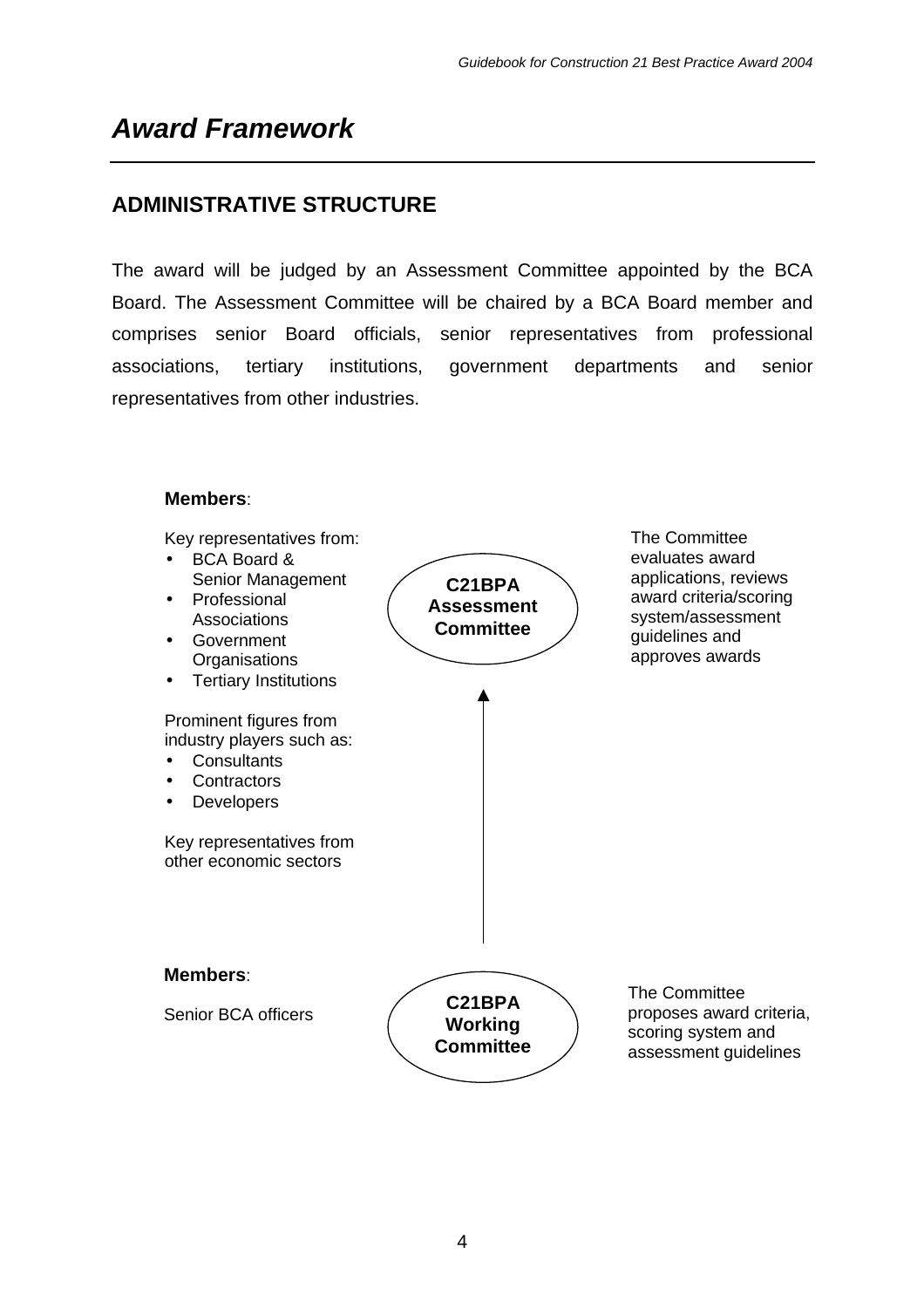# *Award Framework*

## **ADMINISTRATIVE STRUCTURE**

The award will be judged by an Assessment Committee appointed by the BCA Board. The Assessment Committee will be chaired by a BCA Board member and comprises senior Board officials, senior representatives from professional associations, tertiary institutions, government departments and senior representatives from other industries.

#### **Members**:

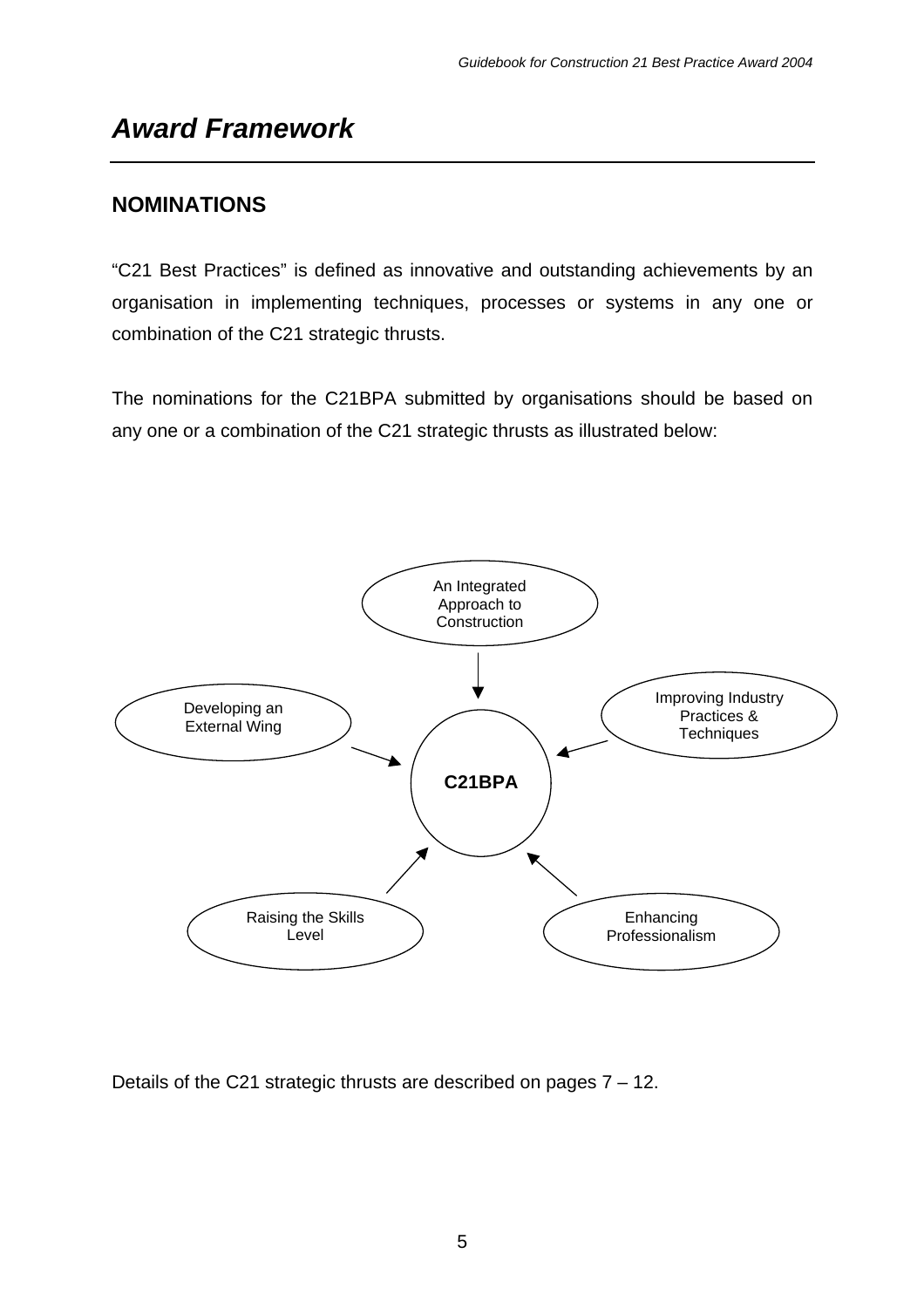# *Award Framework*

## **NOMINATIONS**

"C21 Best Practices" is defined as innovative and outstanding achievements by an organisation in implementing techniques, processes or systems in any one or combination of the C21 strategic thrusts.

The nominations for the C21BPA submitted by organisations should be based on any one or a combination of the C21 strategic thrusts as illustrated below:



Details of the C21 strategic thrusts are described on pages 7 – 12.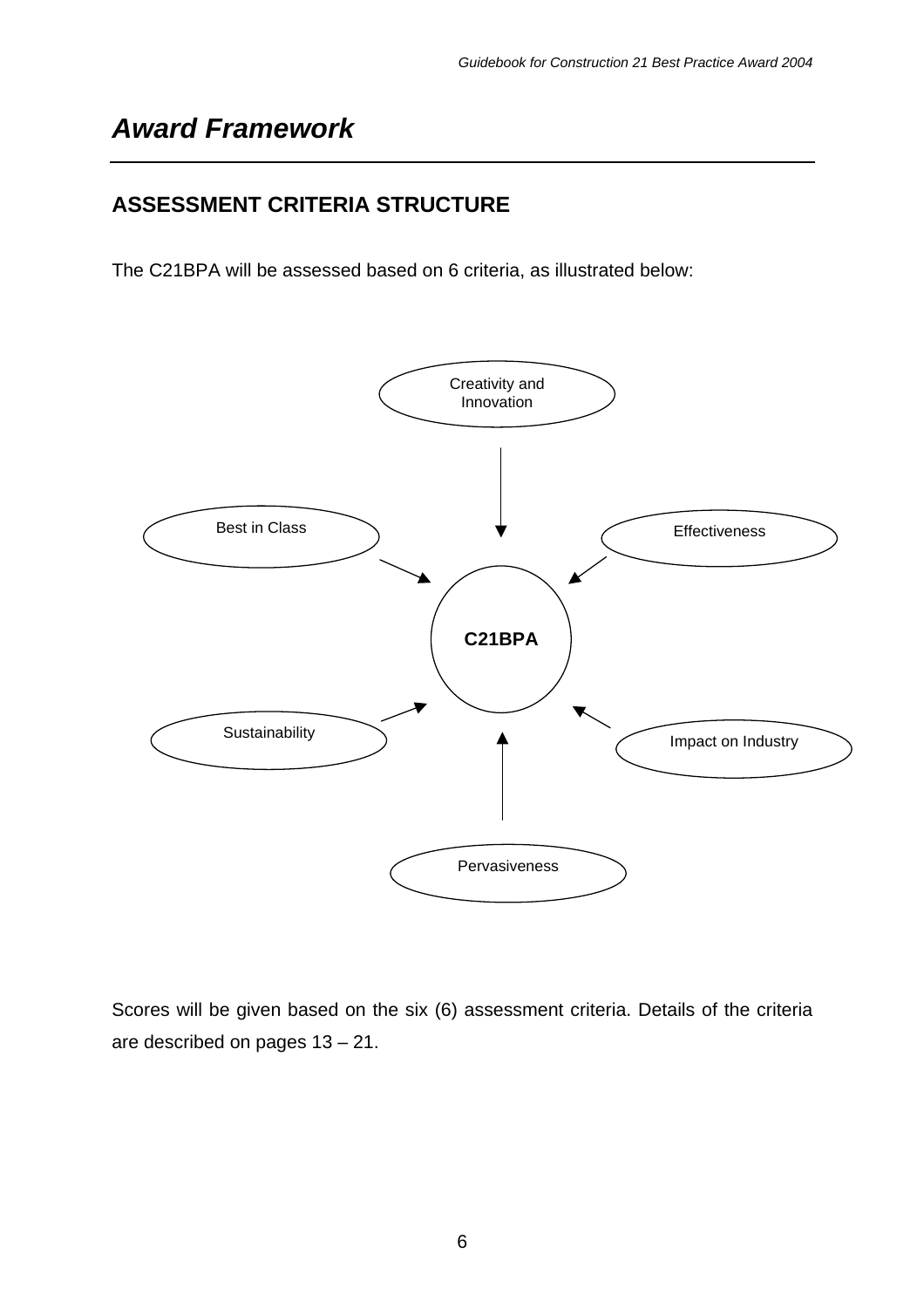# *Award Framework*

## **ASSESSMENT CRITERIA STRUCTURE**

The C21BPA will be assessed based on 6 criteria, as illustrated below:



Scores will be given based on the six (6) assessment criteria. Details of the criteria are described on pages 13 – 21.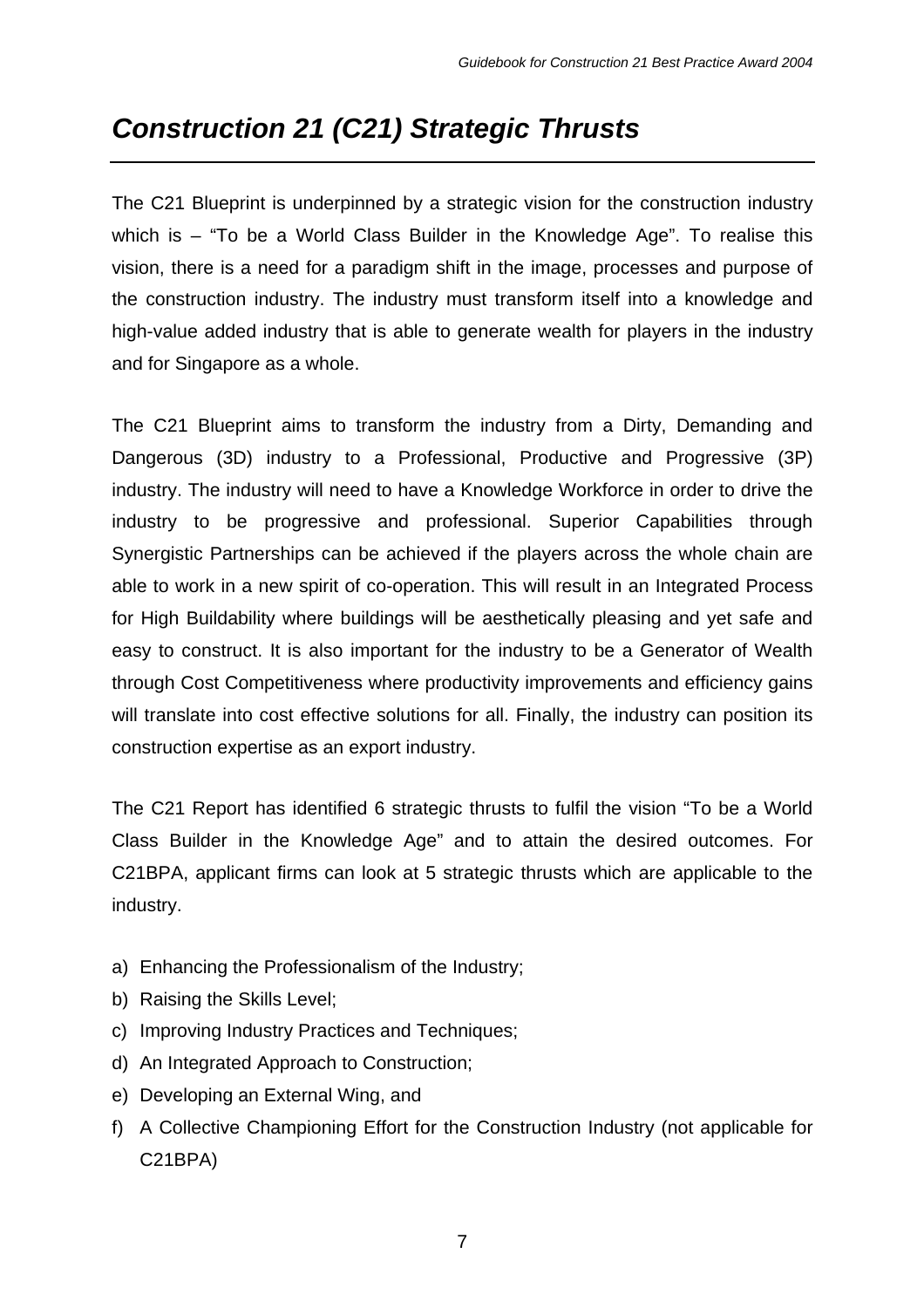The C21 Blueprint is underpinned by a strategic vision for the construction industry which is – "To be a World Class Builder in the Knowledge Age". To realise this vision, there is a need for a paradigm shift in the image, processes and purpose of the construction industry. The industry must transform itself into a knowledge and high-value added industry that is able to generate wealth for players in the industry and for Singapore as a whole.

The C21 Blueprint aims to transform the industry from a Dirty, Demanding and Dangerous (3D) industry to a Professional, Productive and Progressive (3P) industry. The industry will need to have a Knowledge Workforce in order to drive the industry to be progressive and professional. Superior Capabilities through Synergistic Partnerships can be achieved if the players across the whole chain are able to work in a new spirit of co-operation. This will result in an Integrated Process for High Buildability where buildings will be aesthetically pleasing and yet safe and easy to construct. It is also important for the industry to be a Generator of Wealth through Cost Competitiveness where productivity improvements and efficiency gains will translate into cost effective solutions for all. Finally, the industry can position its construction expertise as an export industry.

The C21 Report has identified 6 strategic thrusts to fulfil the vision "To be a World Class Builder in the Knowledge Age" and to attain the desired outcomes. For C21BPA, applicant firms can look at 5 strategic thrusts which are applicable to the industry.

- a) Enhancing the Professionalism of the Industry;
- b) Raising the Skills Level;
- c) Improving Industry Practices and Techniques;
- d) An Integrated Approach to Construction;
- e) Developing an External Wing, and
- f) A Collective Championing Effort for the Construction Industry (not applicable for C21BPA)

7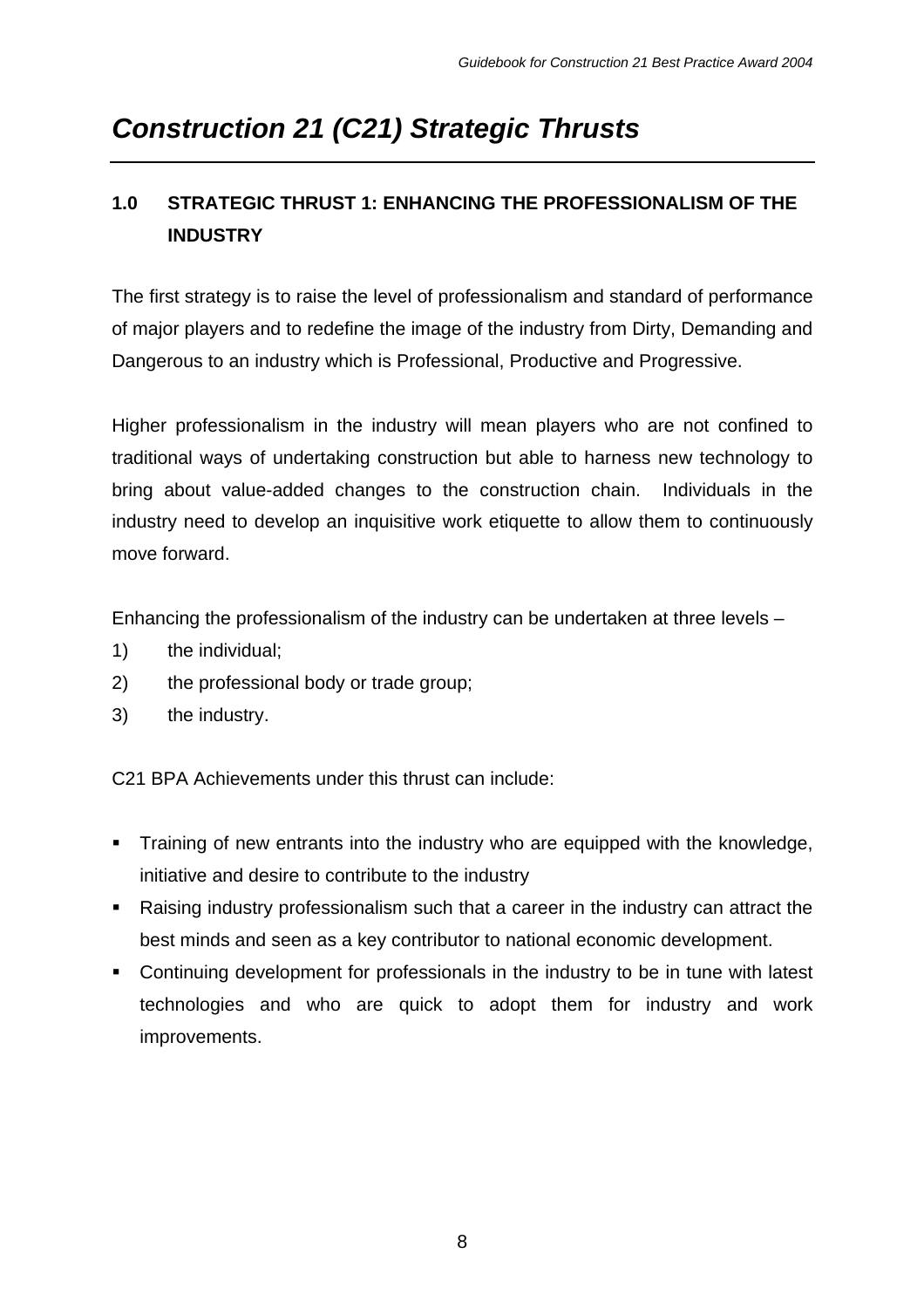## **1.0 STRATEGIC THRUST 1: ENHANCING THE PROFESSIONALISM OF THE INDUSTRY**

The first strategy is to raise the level of professionalism and standard of performance of major players and to redefine the image of the industry from Dirty, Demanding and Dangerous to an industry which is Professional, Productive and Progressive.

Higher professionalism in the industry will mean players who are not confined to traditional ways of undertaking construction but able to harness new technology to bring about value-added changes to the construction chain. Individuals in the industry need to develop an inquisitive work etiquette to allow them to continuously move forward.

Enhancing the professionalism of the industry can be undertaken at three levels –

- 1) the individual;
- 2) the professional body or trade group;
- 3) the industry.

- Training of new entrants into the industry who are equipped with the knowledge, initiative and desire to contribute to the industry
- Raising industry professionalism such that a career in the industry can attract the best minds and seen as a key contributor to national economic development.
- Continuing development for professionals in the industry to be in tune with latest technologies and who are quick to adopt them for industry and work improvements.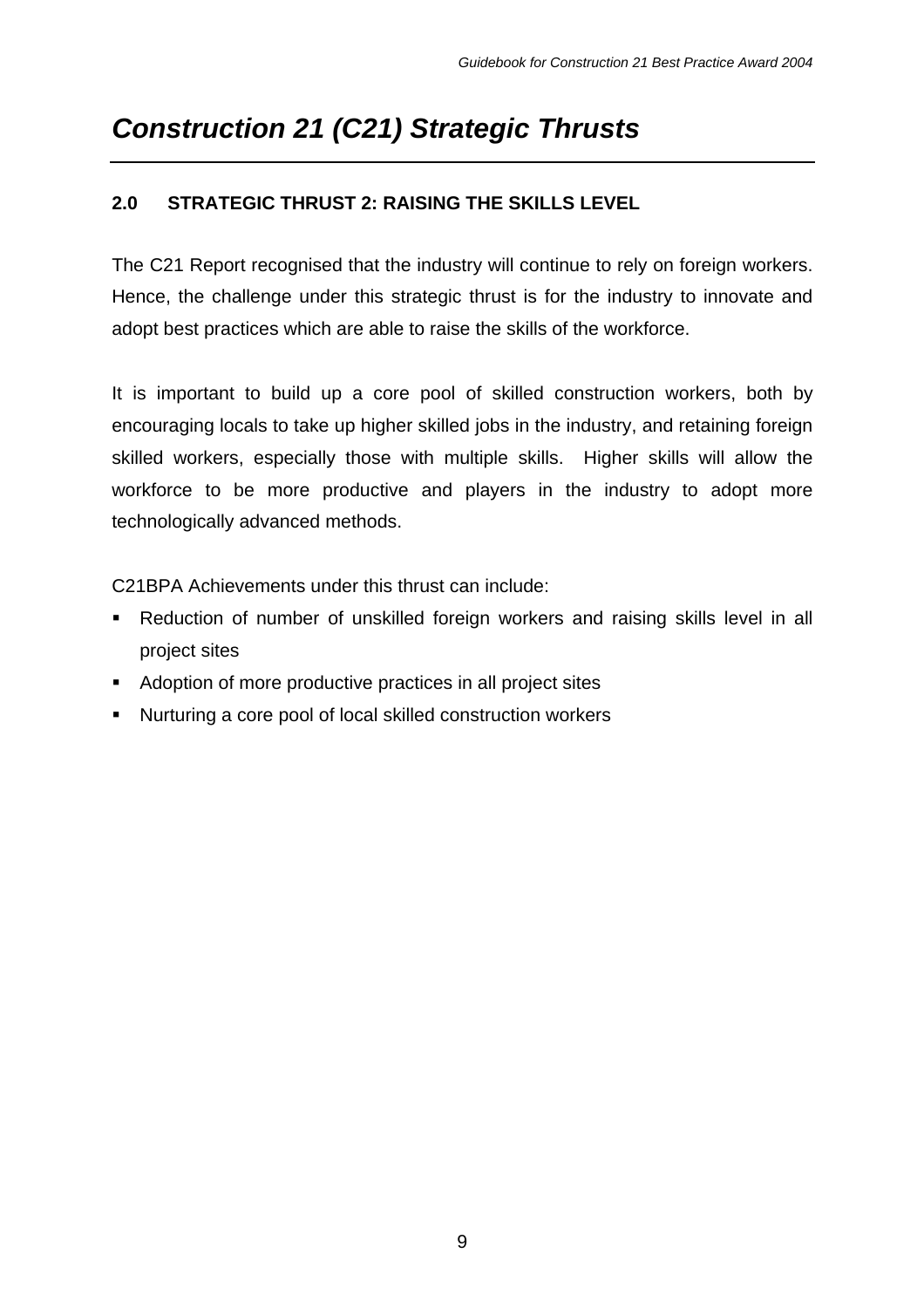#### **2.0 STRATEGIC THRUST 2: RAISING THE SKILLS LEVEL**

The C21 Report recognised that the industry will continue to rely on foreign workers. Hence, the challenge under this strategic thrust is for the industry to innovate and adopt best practices which are able to raise the skills of the workforce.

It is important to build up a core pool of skilled construction workers, both by encouraging locals to take up higher skilled jobs in the industry, and retaining foreign skilled workers, especially those with multiple skills. Higher skills will allow the workforce to be more productive and players in the industry to adopt more technologically advanced methods.

- **B** Reduction of number of unskilled foreign workers and raising skills level in all project sites
- Adoption of more productive practices in all project sites
- Nurturing a core pool of local skilled construction workers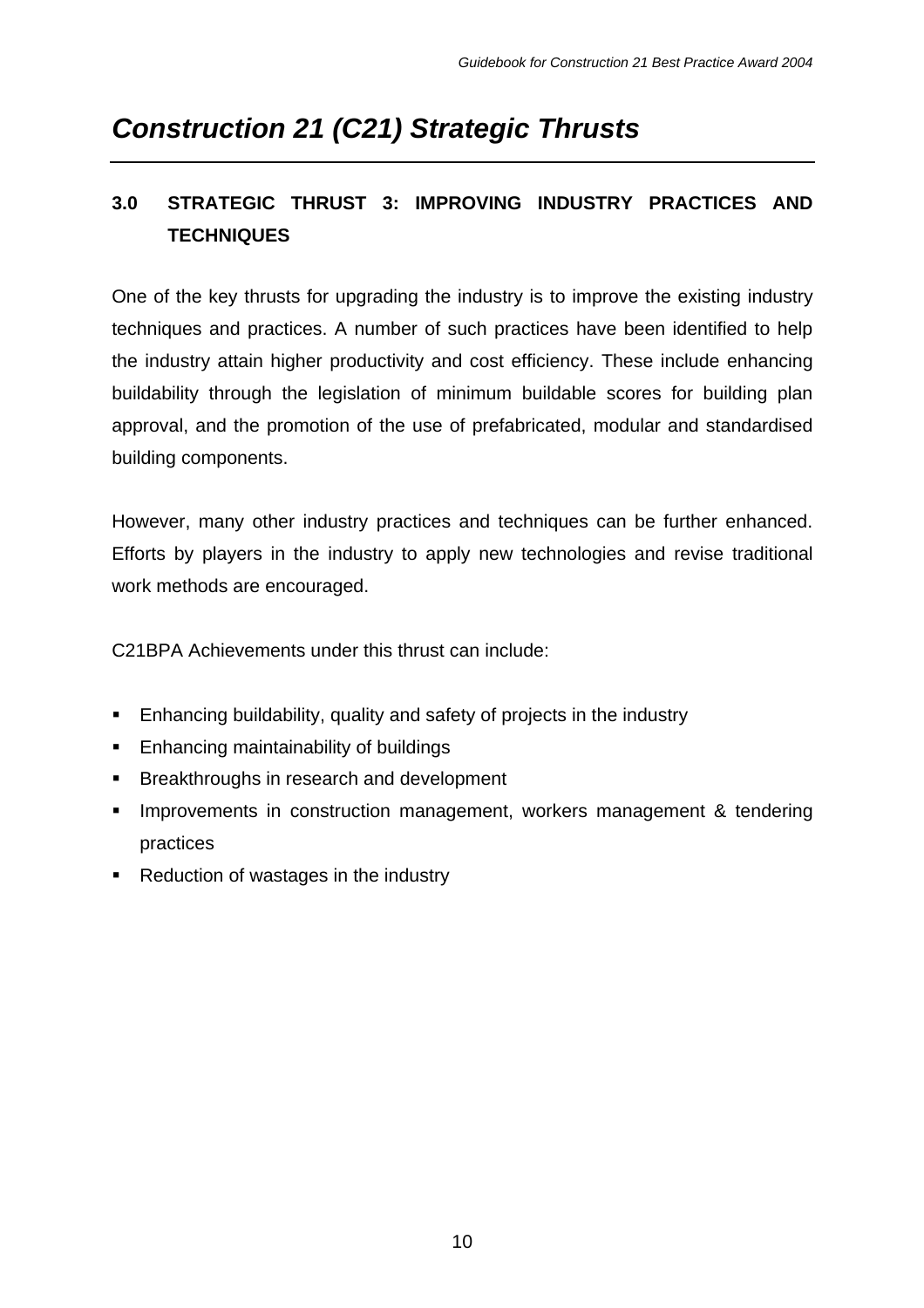## **3.0 STRATEGIC THRUST 3: IMPROVING INDUSTRY PRACTICES AND TECHNIQUES**

One of the key thrusts for upgrading the industry is to improve the existing industry techniques and practices. A number of such practices have been identified to help the industry attain higher productivity and cost efficiency. These include enhancing buildability through the legislation of minimum buildable scores for building plan approval, and the promotion of the use of prefabricated, modular and standardised building components.

However, many other industry practices and techniques can be further enhanced. Efforts by players in the industry to apply new technologies and revise traditional work methods are encouraged.

- **Enhancing buildability, quality and safety of projects in the industry**
- **Enhancing maintainability of buildings**
- **Breakthroughs in research and development**
- **IMPROVEMENTS IN CONSTRUCTION MANAGEMENT, WORKERS MANAGEMENT & tendering** practices
- Reduction of wastages in the industry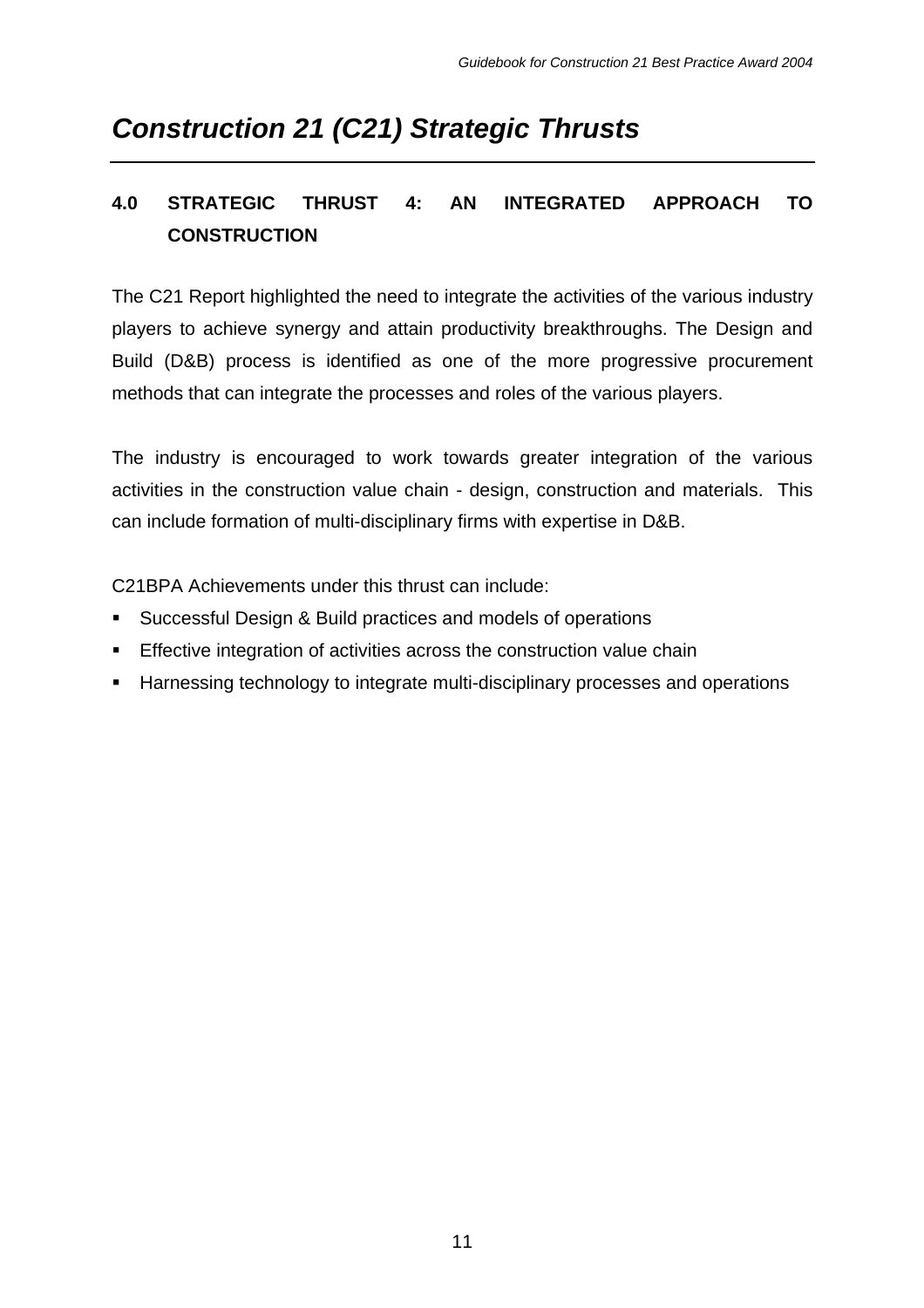## **4.0 STRATEGIC THRUST 4: AN INTEGRATED APPROACH TO CONSTRUCTION**

The C21 Report highlighted the need to integrate the activities of the various industry players to achieve synergy and attain productivity breakthroughs. The Design and Build (D&B) process is identified as one of the more progressive procurement methods that can integrate the processes and roles of the various players.

The industry is encouraged to work towards greater integration of the various activities in the construction value chain - design, construction and materials. This can include formation of multi-disciplinary firms with expertise in D&B.

- **Successful Design & Build practices and models of operations**
- **Effective integration of activities across the construction value chain**
- **Harnessing technology to integrate multi-disciplinary processes and operations**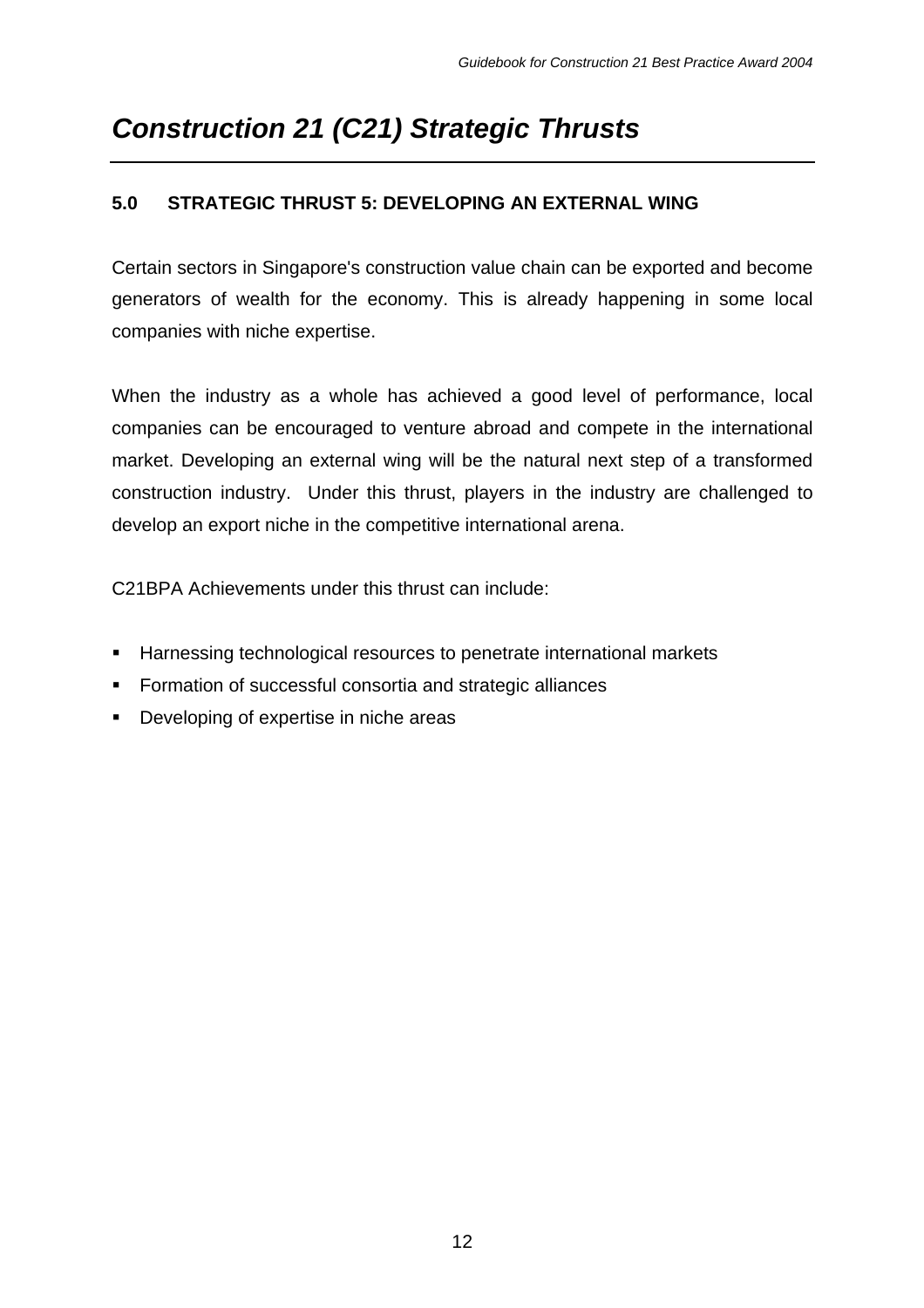#### **5.0 STRATEGIC THRUST 5: DEVELOPING AN EXTERNAL WING**

Certain sectors in Singapore's construction value chain can be exported and become generators of wealth for the economy. This is already happening in some local companies with niche expertise.

When the industry as a whole has achieved a good level of performance, local companies can be encouraged to venture abroad and compete in the international market. Developing an external wing will be the natural next step of a transformed construction industry. Under this thrust, players in the industry are challenged to develop an export niche in the competitive international arena.

- **Harnessing technological resources to penetrate international markets**
- **Formation of successful consortia and strategic alliances**
- **•** Developing of expertise in niche areas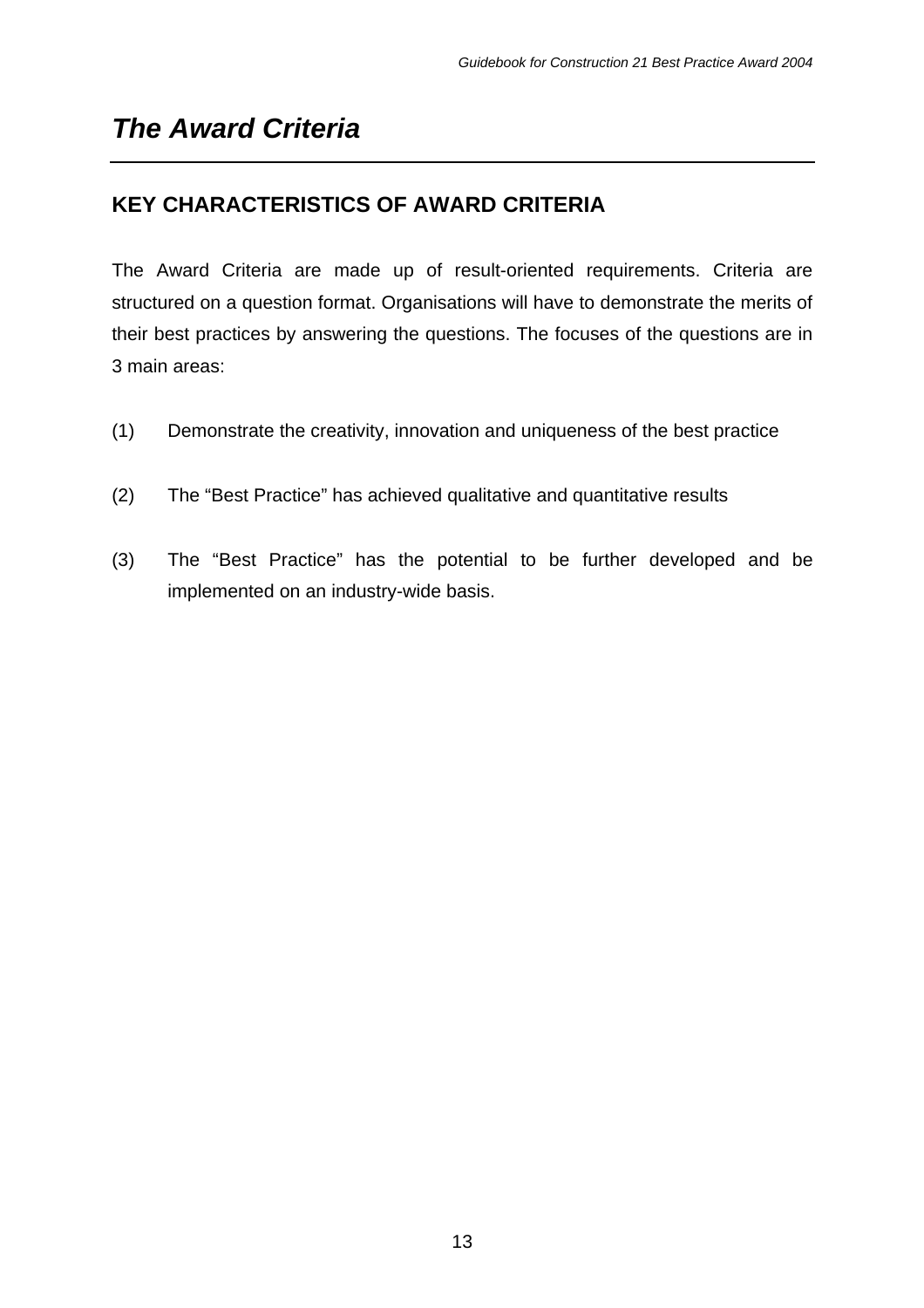## **KEY CHARACTERISTICS OF AWARD CRITERIA**

The Award Criteria are made up of result-oriented requirements. Criteria are structured on a question format. Organisations will have to demonstrate the merits of their best practices by answering the questions. The focuses of the questions are in 3 main areas:

- (1) Demonstrate the creativity, innovation and uniqueness of the best practice
- (2) The "Best Practice" has achieved qualitative and quantitative results
- (3) The "Best Practice" has the potential to be further developed and be implemented on an industry-wide basis.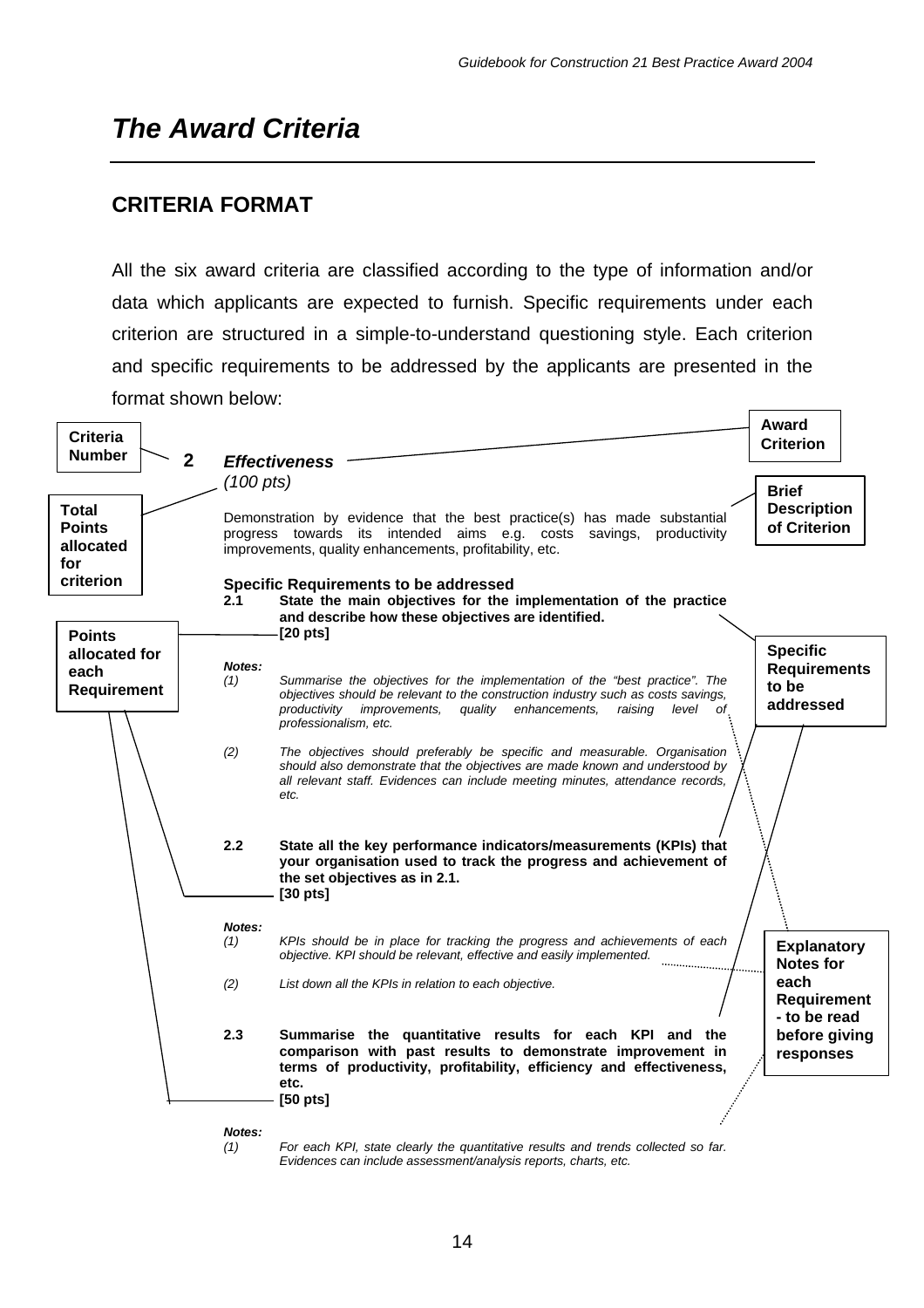### **CRITERIA FORMAT**

All the six award criteria are classified according to the type of information and/or data which applicants are expected to furnish. Specific requirements under each criterion are structured in a simple-to-understand questioning style. Each criterion and specific requirements to be addressed by the applicants are presented in the format shown below:

| <b>Criteria</b><br><b>Number</b><br>$\mathbf{2}$  | (100 pts)     | <b>Effectiveness</b>                                                                                                                                                                                                                                                       | Award<br><b>Criterion</b><br><b>Brief</b>                    |
|---------------------------------------------------|---------------|----------------------------------------------------------------------------------------------------------------------------------------------------------------------------------------------------------------------------------------------------------------------------|--------------------------------------------------------------|
| <b>Total</b><br><b>Points</b><br>allocated<br>for |               | Demonstration by evidence that the best practice(s) has made substantial<br>progress towards its intended aims e.g. costs savings,<br>productivity<br>improvements, quality enhancements, profitability, etc.                                                              | <b>Description</b><br>of Criterion                           |
| criterion<br><b>Points</b>                        | 2.1           | <b>Specific Requirements to be addressed</b><br>State the main objectives for the implementation of the practice<br>and describe how these objectives are identified.<br>$[20 \text{ pts}]$                                                                                |                                                              |
| allocated for<br>each<br><b>Requirement</b>       | Notes:<br>(1) | Summarise the objectives for the implementation of the "best practice". The<br>objectives should be relevant to the construction industry such as costs savings,<br>productivity improvements,<br>quality<br>enhancements.<br>raising<br>level of<br>professionalism, etc. | <b>Specific</b><br><b>Requirements</b><br>to be<br>addressed |
|                                                   | (2)           | The objectives should preferably be specific and measurable. Organisation<br>should also demonstrate that the objectives are made known and understood by<br>all relevant staff. Evidences can include meeting minutes, attendance records,<br>etc.                        |                                                              |
|                                                   | 2.2           | State all the key performance indicators/measurements (KPIs) that<br>your organisation used to track the progress and achievement of<br>the set objectives as in 2.1.<br>$[30 \text{ pts}]$                                                                                |                                                              |
|                                                   | Notes:<br>(1) | KPIs should be in place for tracking the progress and achievements of each<br>objective. KPI should be relevant, effective and easily implemented.                                                                                                                         | <b>Explanatory</b><br><b>Notes for</b>                       |
|                                                   | (2)           | List down all the KPIs in relation to each objective.                                                                                                                                                                                                                      | each<br><b>Requirement</b><br>- to be read                   |
|                                                   | 2.3           | Summarise the quantitative results for each KPI and the<br>comparison with past results to demonstrate improvement in<br>terms of productivity, profitability, efficiency and effectiveness,<br>etc.<br>$[50 \text{ pts}]$                                                 | before giving<br>responses                                   |
|                                                   | Notes:<br>(1) | For each KPI, state clearly the quantitative results and trends collected so far.                                                                                                                                                                                          |                                                              |

*Evidences can include assessment/analysis reports, charts, etc.*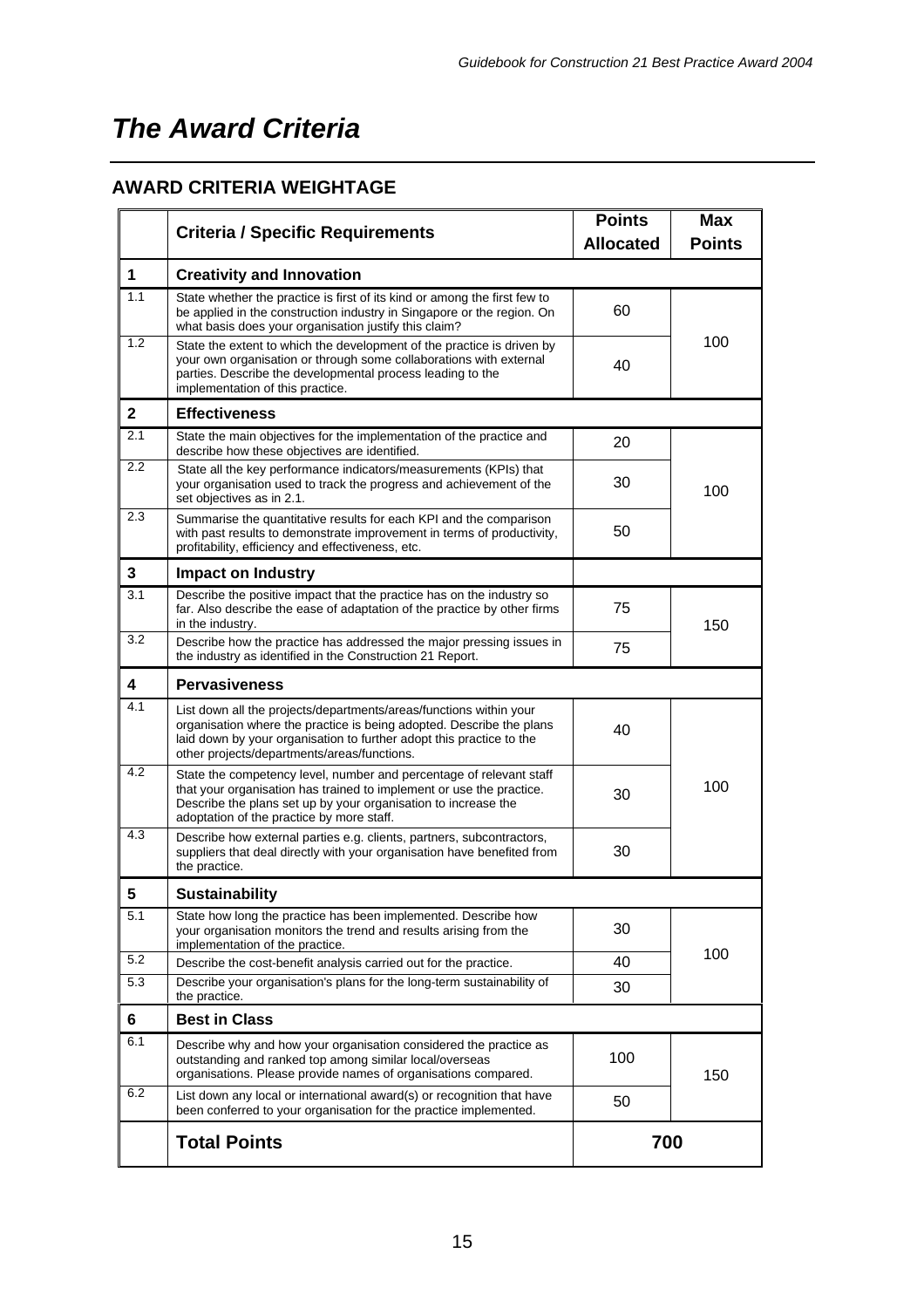### **AWARD CRITERIA WEIGHTAGE**

|              | <b>Criteria / Specific Requirements</b>                                                                                                                                                                                                                           |                  | <b>Max</b>    |  |
|--------------|-------------------------------------------------------------------------------------------------------------------------------------------------------------------------------------------------------------------------------------------------------------------|------------------|---------------|--|
|              |                                                                                                                                                                                                                                                                   | <b>Allocated</b> | <b>Points</b> |  |
| 1            | <b>Creativity and Innovation</b>                                                                                                                                                                                                                                  |                  |               |  |
| 1.1          | State whether the practice is first of its kind or among the first few to<br>be applied in the construction industry in Singapore or the region. On<br>what basis does your organisation justify this claim?                                                      | 60               |               |  |
| 1.2          | State the extent to which the development of the practice is driven by<br>your own organisation or through some collaborations with external<br>parties. Describe the developmental process leading to the<br>implementation of this practice.                    | 40               | 100           |  |
| $\mathbf{2}$ | <b>Effectiveness</b>                                                                                                                                                                                                                                              |                  |               |  |
| 2.1          | State the main objectives for the implementation of the practice and<br>describe how these objectives are identified.                                                                                                                                             | 20               |               |  |
| 2.2          | State all the key performance indicators/measurements (KPIs) that<br>your organisation used to track the progress and achievement of the<br>set objectives as in 2.1.                                                                                             | 30               | 100           |  |
| 2.3          | Summarise the quantitative results for each KPI and the comparison<br>with past results to demonstrate improvement in terms of productivity,<br>profitability, efficiency and effectiveness, etc.                                                                 | 50               |               |  |
| 3            | <b>Impact on Industry</b>                                                                                                                                                                                                                                         |                  |               |  |
| 3.1          | Describe the positive impact that the practice has on the industry so<br>far. Also describe the ease of adaptation of the practice by other firms<br>in the industry.                                                                                             | 75               | 150           |  |
| 3.2          | Describe how the practice has addressed the major pressing issues in<br>the industry as identified in the Construction 21 Report.                                                                                                                                 | 75               |               |  |
| 4            | <b>Pervasiveness</b>                                                                                                                                                                                                                                              |                  |               |  |
| 4.1          | List down all the projects/departments/areas/functions within your<br>organisation where the practice is being adopted. Describe the plans<br>laid down by your organisation to further adopt this practice to the<br>other projects/departments/areas/functions. | 40               |               |  |
| 4.2          | State the competency level, number and percentage of relevant staff<br>that your organisation has trained to implement or use the practice.<br>Describe the plans set up by your organisation to increase the<br>adoptation of the practice by more staff.        | 30               | 100           |  |
| 4.3          | Describe how external parties e.g. clients, partners, subcontractors,<br>suppliers that deal directly with your organisation have benefited from<br>the practice.                                                                                                 | 30               |               |  |
| 5            | <b>Sustainability</b>                                                                                                                                                                                                                                             |                  |               |  |
| 5.1          | State how long the practice has been implemented. Describe how<br>your organisation monitors the trend and results arising from the<br>implementation of the practice.                                                                                            | 30               |               |  |
| 5.2          | Describe the cost-benefit analysis carried out for the practice.                                                                                                                                                                                                  | 40               | 100           |  |
| 5.3          | Describe your organisation's plans for the long-term sustainability of<br>the practice.                                                                                                                                                                           | 30               |               |  |
| 6            | <b>Best in Class</b>                                                                                                                                                                                                                                              |                  |               |  |
| 6.1          | Describe why and how your organisation considered the practice as<br>outstanding and ranked top among similar local/overseas<br>organisations. Please provide names of organisations compared.                                                                    | 100              | 150           |  |
| 6.2          | List down any local or international award(s) or recognition that have<br>been conferred to your organisation for the practice implemented.                                                                                                                       | 50               |               |  |
|              | <b>Total Points</b>                                                                                                                                                                                                                                               | 700              |               |  |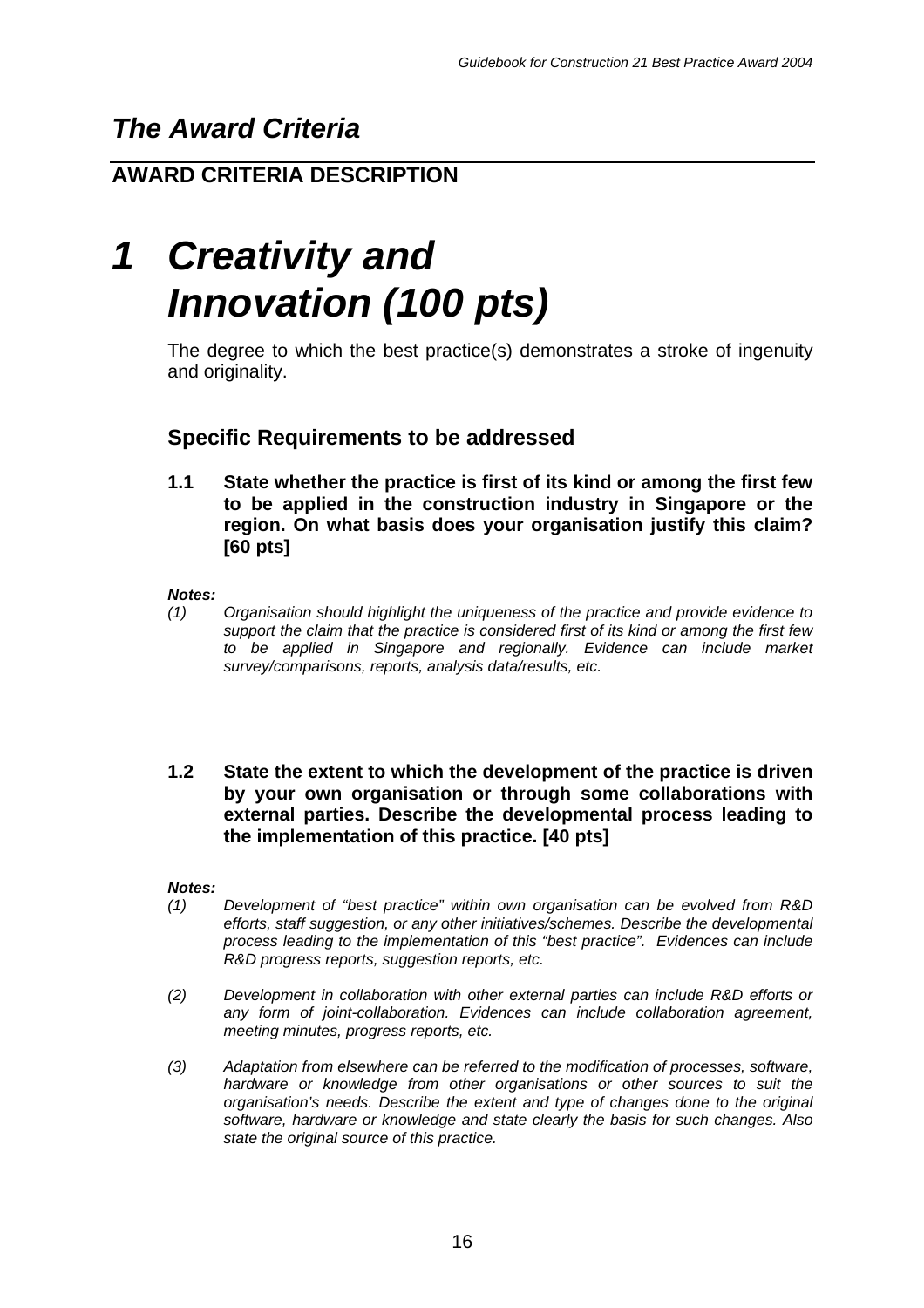## **AWARD CRITERIA DESCRIPTION**

# *1 Creativity and Innovation (100 pts)*

The degree to which the best practice(s) demonstrates a stroke of ingenuity and originality.

## **Specific Requirements to be addressed**

**1.1 State whether the practice is first of its kind or among the first few to be applied in the construction industry in Singapore or the region. On what basis does your organisation justify this claim? [60 pts]**

*Notes:*

- *(1) Organisation should highlight the uniqueness of the practice and provide evidence to support the claim that the practice is considered first of its kind or among the first few to be applied in Singapore and regionally. Evidence can include market survey/comparisons, reports, analysis data/results, etc.*
- **1.2 State the extent to which the development of the practice is driven by your own organisation or through some collaborations with external parties. Describe the developmental process leading to the implementation of this practice. [40 pts]**

#### *Notes:*

- *(1) Development of "best practice" within own organisation can be evolved from R&D efforts, staff suggestion, or any other initiatives/schemes. Describe the developmental process leading to the implementation of this "best practice". Evidences can include R&D progress reports, suggestion reports, etc.*
- *(2) Development in collaboration with other external parties can include R&D efforts or any form of joint-collaboration. Evidences can include collaboration agreement, meeting minutes, progress reports, etc.*
- *(3) Adaptation from elsewhere can be referred to the modification of processes, software, hardware or knowledge from other organisations or other sources to suit the organisation's needs. Describe the extent and type of changes done to the original software, hardware or knowledge and state clearly the basis for such changes. Also state the original source of this practice.*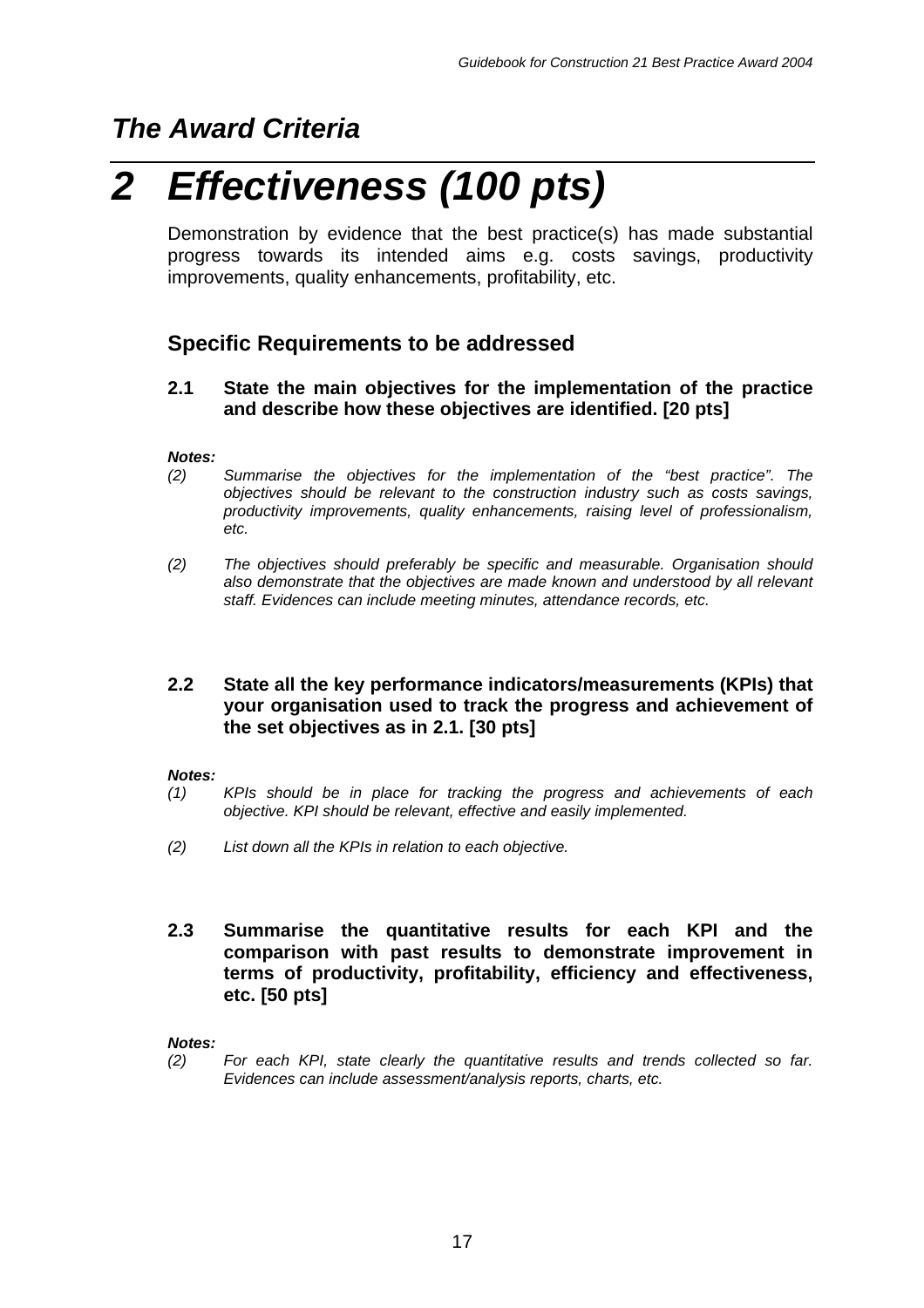# *2 Effectiveness (100 pts)*

Demonstration by evidence that the best practice(s) has made substantial progress towards its intended aims e.g. costs savings, productivity improvements, quality enhancements, profitability, etc.

## **Specific Requirements to be addressed**

#### **2.1 State the main objectives for the implementation of the practice and describe how these objectives are identified. [20 pts]**

#### *Notes:*

- *(2) Summarise the objectives for the implementation of the "best practice". The objectives should be relevant to the construction industry such as costs savings, productivity improvements, quality enhancements, raising level of professionalism, etc.*
- *(2) The objectives should preferably be specific and measurable. Organisation should also demonstrate that the objectives are made known and understood by all relevant staff. Evidences can include meeting minutes, attendance records, etc.*

#### **2.2 State all the key performance indicators/measurements (KPIs) that your organisation used to track the progress and achievement of the set objectives as in 2.1. [30 pts]**

#### *Notes:*

- *(1) KPIs should be in place for tracking the progress and achievements of each objective. KPI should be relevant, effective and easily implemented.*
- *(2) List down all the KPIs in relation to each objective.*

#### **2.3 Summarise the quantitative results for each KPI and the comparison with past results to demonstrate improvement in terms of productivity, profitability, efficiency and effectiveness, etc. [50 pts]**

#### *Notes:*

*(2) For each KPI, state clearly the quantitative results and trends collected so far. Evidences can include assessment/analysis reports, charts, etc.*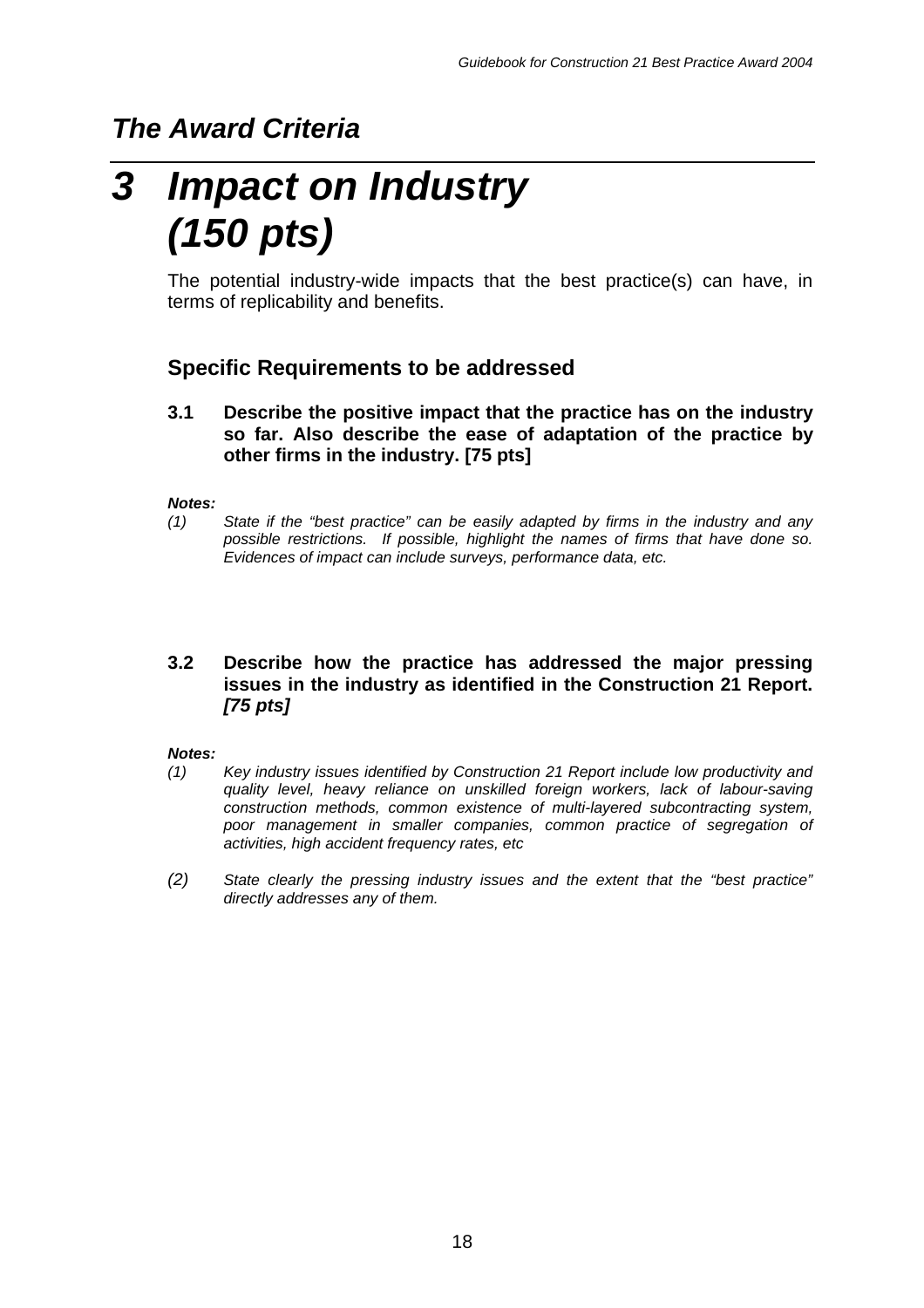# *3 Impact on Industry (150 pts)*

The potential industry-wide impacts that the best practice(s) can have, in terms of replicability and benefits.

## **Specific Requirements to be addressed**

**3.1 Describe the positive impact that the practice has on the industry so far. Also describe the ease of adaptation of the practice by other firms in the industry. [75 pts]**

#### *Notes:*

*(1) State if the "best practice" can be easily adapted by firms in the industry and any possible restrictions. If possible, highlight the names of firms that have done so. Evidences of impact can include surveys, performance data, etc.*

#### **3.2 Describe how the practice has addressed the major pressing issues in the industry as identified in the Construction 21 Report.** *[75 pts]*

#### *Notes:*

- *(1) Key industry issues identified by Construction 21 Report include low productivity and quality level, heavy reliance on unskilled foreign workers, lack of labour-saving construction methods, common existence of multi-layered subcontracting system, poor management in smaller companies, common practice of segregation of activities, high accident frequency rates, etc*
- *(2) State clearly the pressing industry issues and the extent that the "best practice" directly addresses any of them.*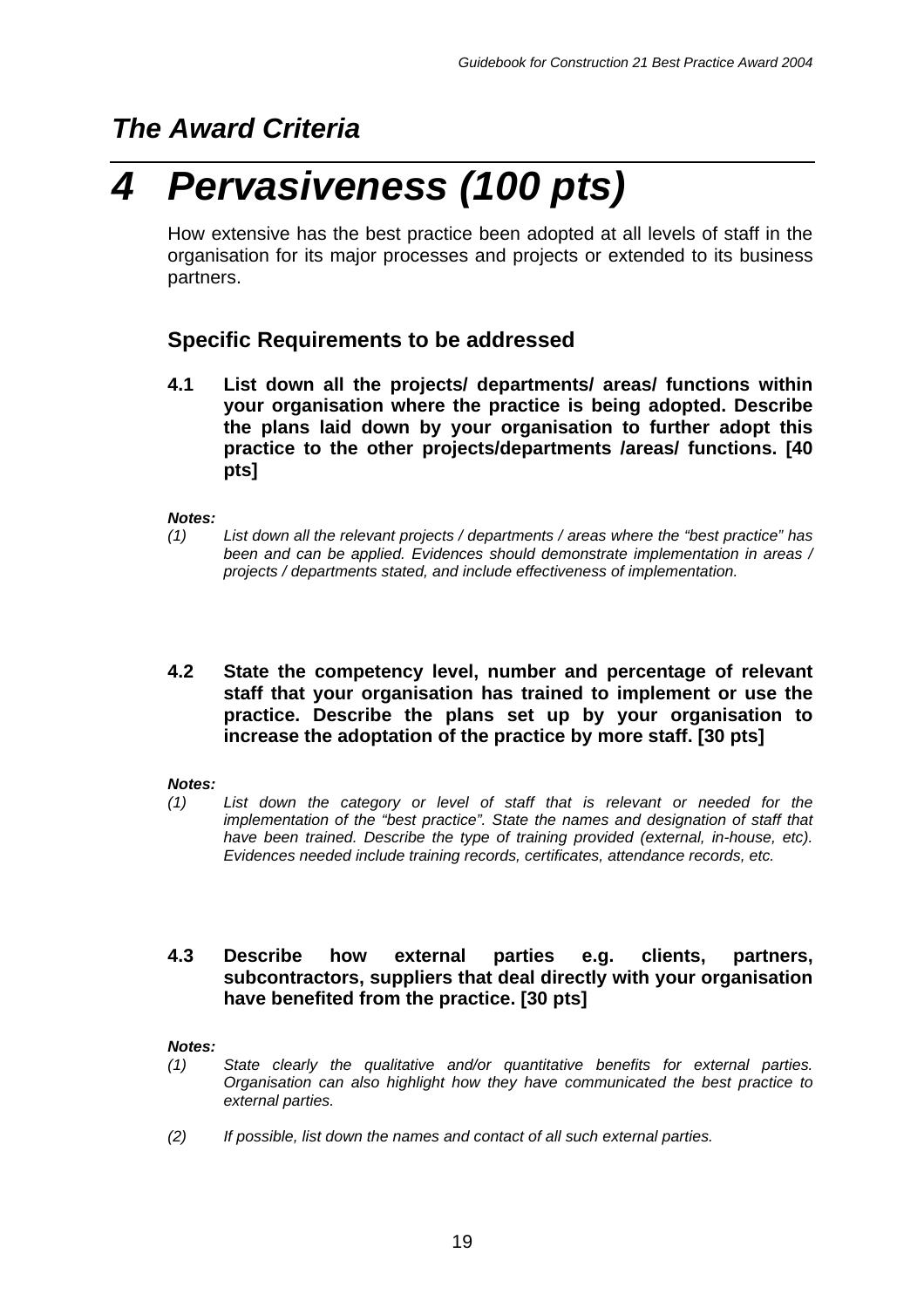# *4 Pervasiveness (100 pts)*

How extensive has the best practice been adopted at all levels of staff in the organisation for its major processes and projects or extended to its business partners.

## **Specific Requirements to be addressed**

**4.1 List down all the projects/ departments/ areas/ functions within your organisation where the practice is being adopted. Describe the plans laid down by your organisation to further adopt this practice to the other projects/departments /areas/ functions. [40 pts]**

#### *Notes:*

- *(1) List down all the relevant projects / departments / areas where the "best practice" has been and can be applied. Evidences should demonstrate implementation in areas / projects / departments stated, and include effectiveness of implementation.*
- **4.2 State the competency level, number and percentage of relevant staff that your organisation has trained to implement or use the practice. Describe the plans set up by your organisation to increase the adoptation of the practice by more staff. [30 pts]**

#### *Notes:*

*(1) List down the category or level of staff that is relevant or needed for the implementation of the "best practice". State the names and designation of staff that have been trained. Describe the type of training provided (external, in-house, etc). Evidences needed include training records, certificates, attendance records, etc.*

#### **4.3 Describe how external parties e.g. clients, partners, subcontractors, suppliers that deal directly with your organisation have benefited from the practice. [30 pts]**

#### *Notes:*

- *(1) State clearly the qualitative and/or quantitative benefits for external parties. Organisation can also highlight how they have communicated the best practice to external parties.*
- *(2) If possible, list down the names and contact of all such external parties.*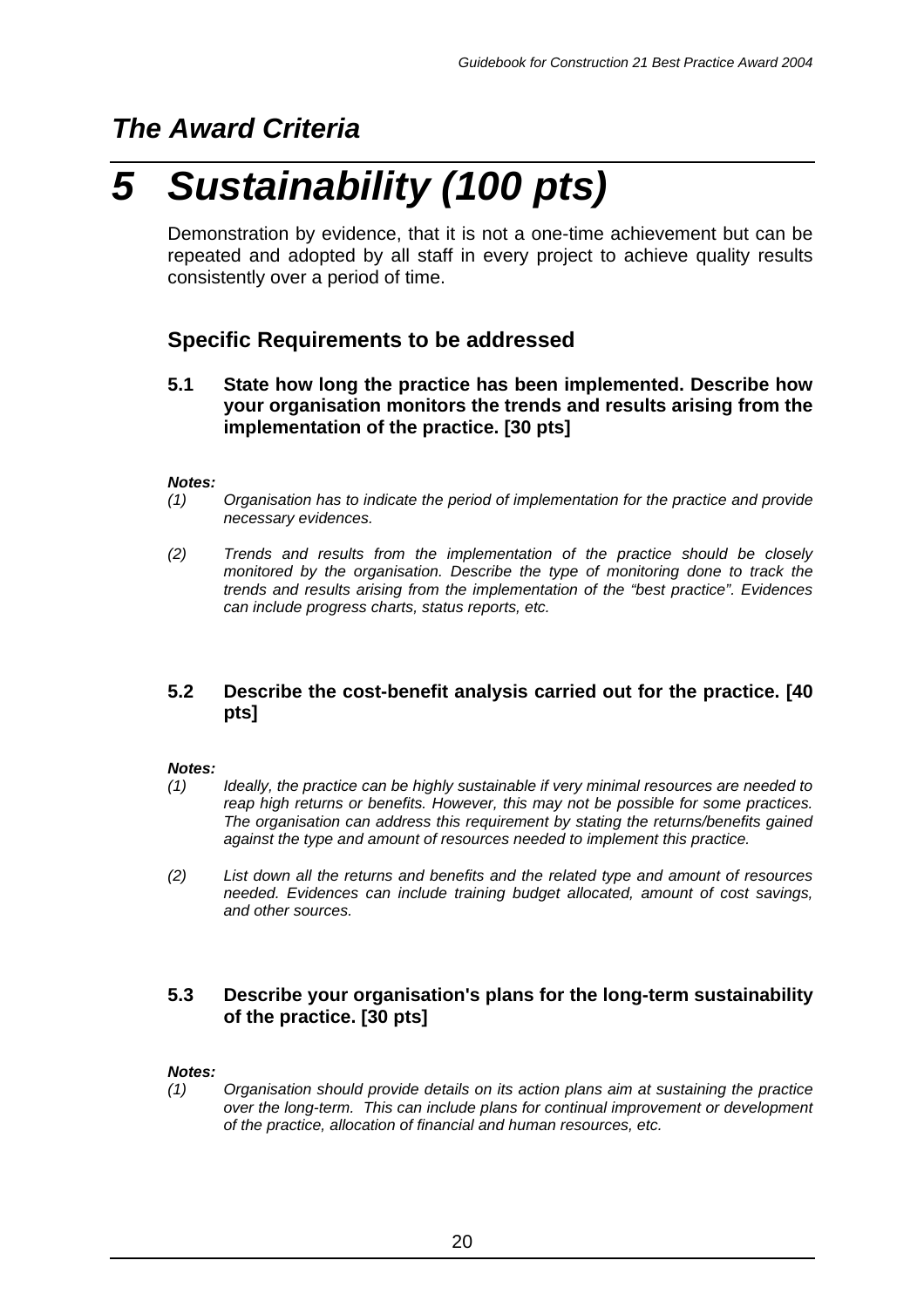# *5 Sustainability (100 pts)*

Demonstration by evidence, that it is not a one-time achievement but can be repeated and adopted by all staff in every project to achieve quality results consistently over a period of time.

## **Specific Requirements to be addressed**

**5.1 State how long the practice has been implemented. Describe how your organisation monitors the trends and results arising from the implementation of the practice. [30 pts]**

#### *Notes:*

- *(1) Organisation has to indicate the period of implementation for the practice and provide necessary evidences.*
- *(2) Trends and results from the implementation of the practice should be closely monitored by the organisation. Describe the type of monitoring done to track the trends and results arising from the implementation of the "best practice". Evidences can include progress charts, status reports, etc.*

#### **5.2 Describe the cost-benefit analysis carried out for the practice. [40 pts]**

#### *Notes:*

- *(1) Ideally, the practice can be highly sustainable if very minimal resources are needed to reap high returns or benefits. However, this may not be possible for some practices. The organisation can address this requirement by stating the returns/benefits gained against the type and amount of resources needed to implement this practice.*
- *(2) List down all the returns and benefits and the related type and amount of resources needed. Evidences can include training budget allocated, amount of cost savings, and other sources.*

#### **5.3 Describe your organisation's plans for the long-term sustainability of the practice. [30 pts]**

#### *Notes:*

*(1) Organisation should provide details on its action plans aim at sustaining the practice over the long-term. This can include plans for continual improvement or development of the practice, allocation of financial and human resources, etc.*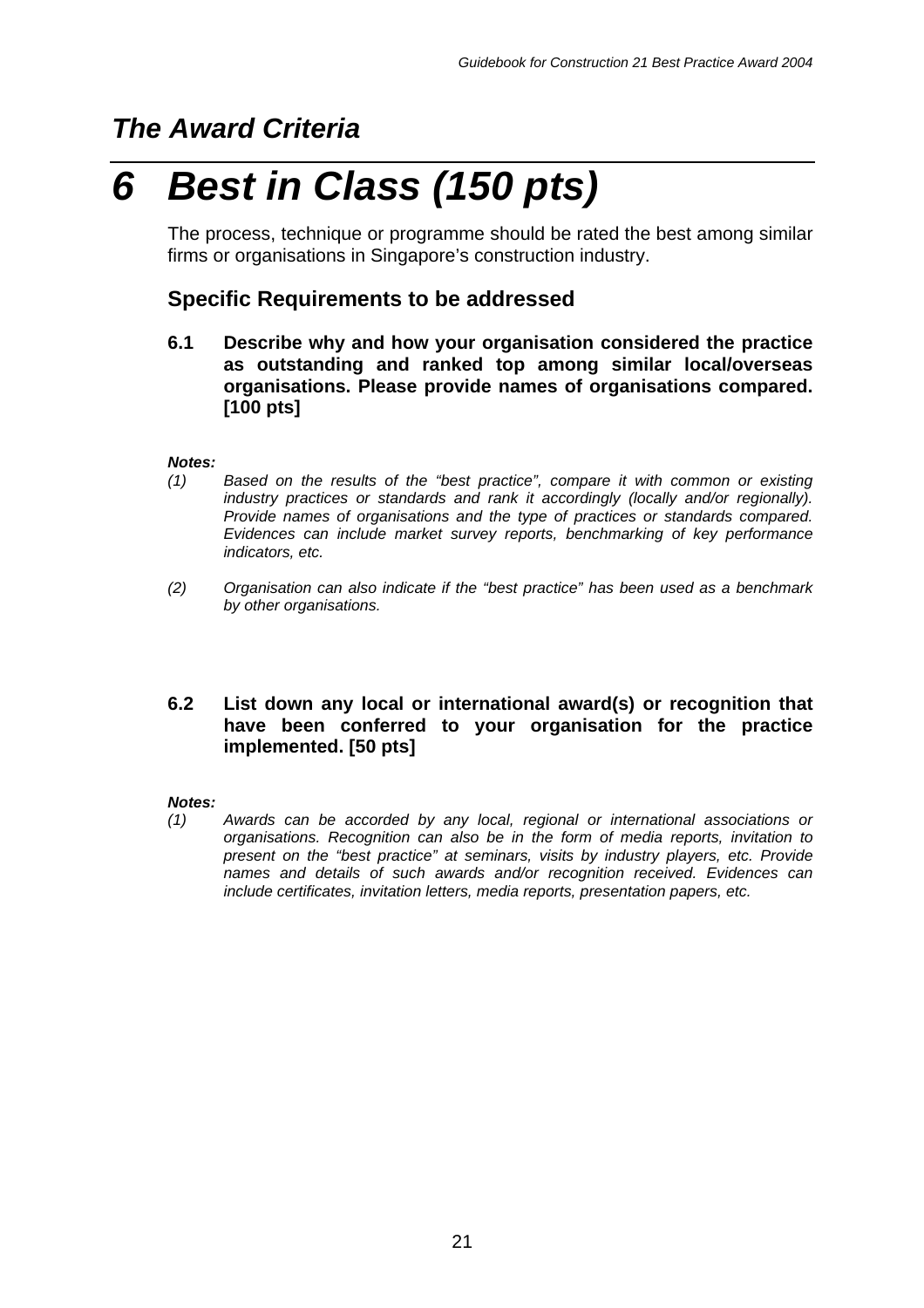# *6 Best in Class (150 pts)*

The process, technique or programme should be rated the best among similar firms or organisations in Singapore's construction industry.

### **Specific Requirements to be addressed**

**6.1 Describe why and how your organisation considered the practice as outstanding and ranked top among similar local/overseas organisations. Please provide names of organisations compared. [100 pts]**

#### *Notes:*

- *(1) Based on the results of the "best practice", compare it with common or existing industry practices or standards and rank it accordingly (locally and/or regionally). Provide names of organisations and the type of practices or standards compared. Evidences can include market survey reports, benchmarking of key performance indicators, etc.*
- *(2) Organisation can also indicate if the "best practice" has been used as a benchmark by other organisations.*

#### **6.2 List down any local or international award(s) or recognition that have been conferred to your organisation for the practice implemented. [50 pts]**

#### *Notes:*

*(1) Awards can be accorded by any local, regional or international associations or organisations. Recognition can also be in the form of media reports, invitation to present on the "best practice" at seminars, visits by industry players, etc. Provide names and details of such awards and/or recognition received. Evidences can include certificates, invitation letters, media reports, presentation papers, etc.*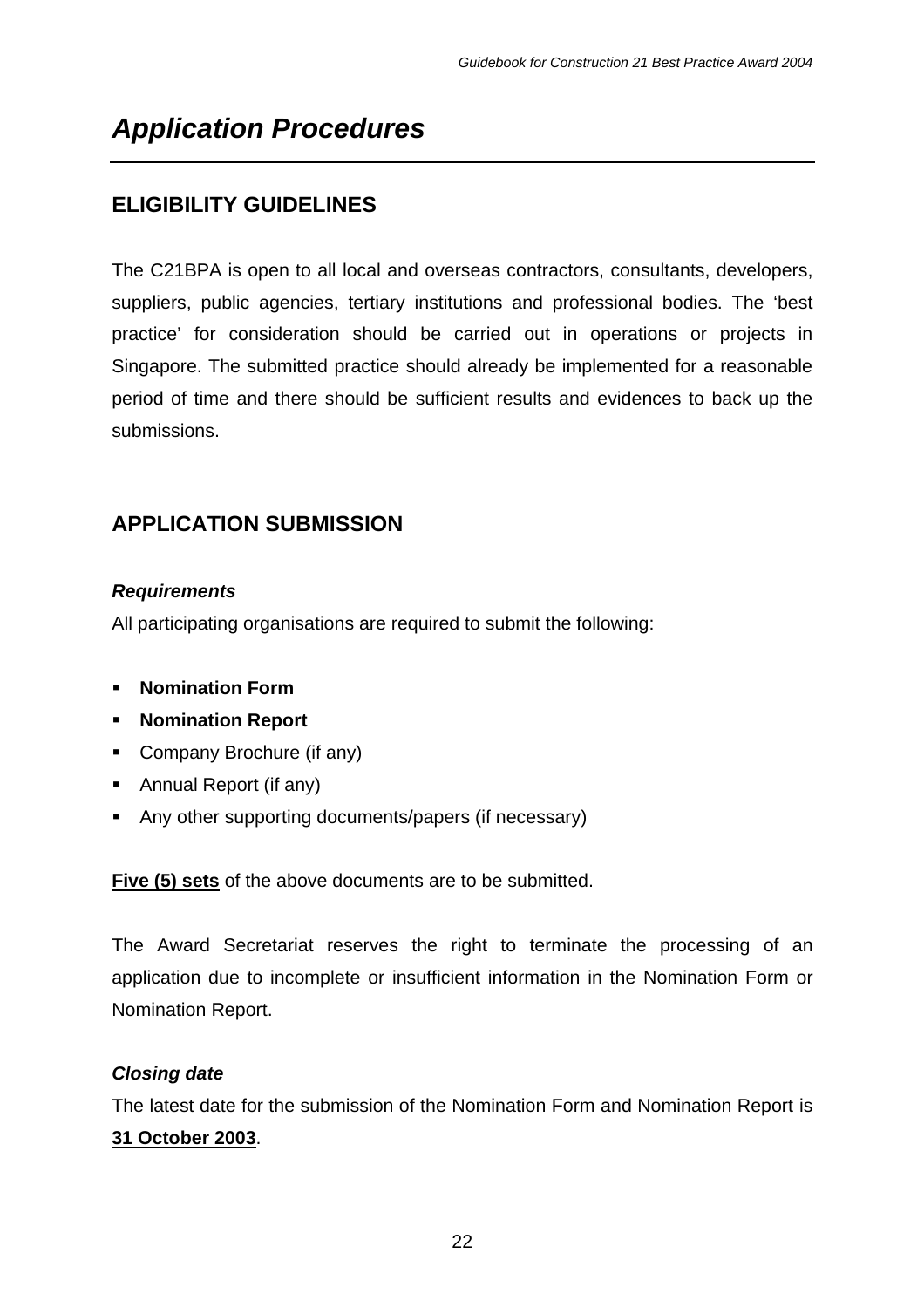## **ELIGIBILITY GUIDELINES**

The C21BPA is open to all local and overseas contractors, consultants, developers, suppliers, public agencies, tertiary institutions and professional bodies. The 'best practice' for consideration should be carried out in operations or projects in Singapore. The submitted practice should already be implemented for a reasonable period of time and there should be sufficient results and evidences to back up the submissions.

## **APPLICATION SUBMISSION**

#### *Requirements*

All participating organisations are required to submit the following:

- **EXECUTE:** Nomination Form
- ß **Nomination Report**
- Company Brochure (if any)
- Annual Report (if any)
- Any other supporting documents/papers (if necessary)

**Five (5) sets** of the above documents are to be submitted.

The Award Secretariat reserves the right to terminate the processing of an application due to incomplete or insufficient information in the Nomination Form or Nomination Report.

#### *Closing date*

The latest date for the submission of the Nomination Form and Nomination Report is **31 October 2003**.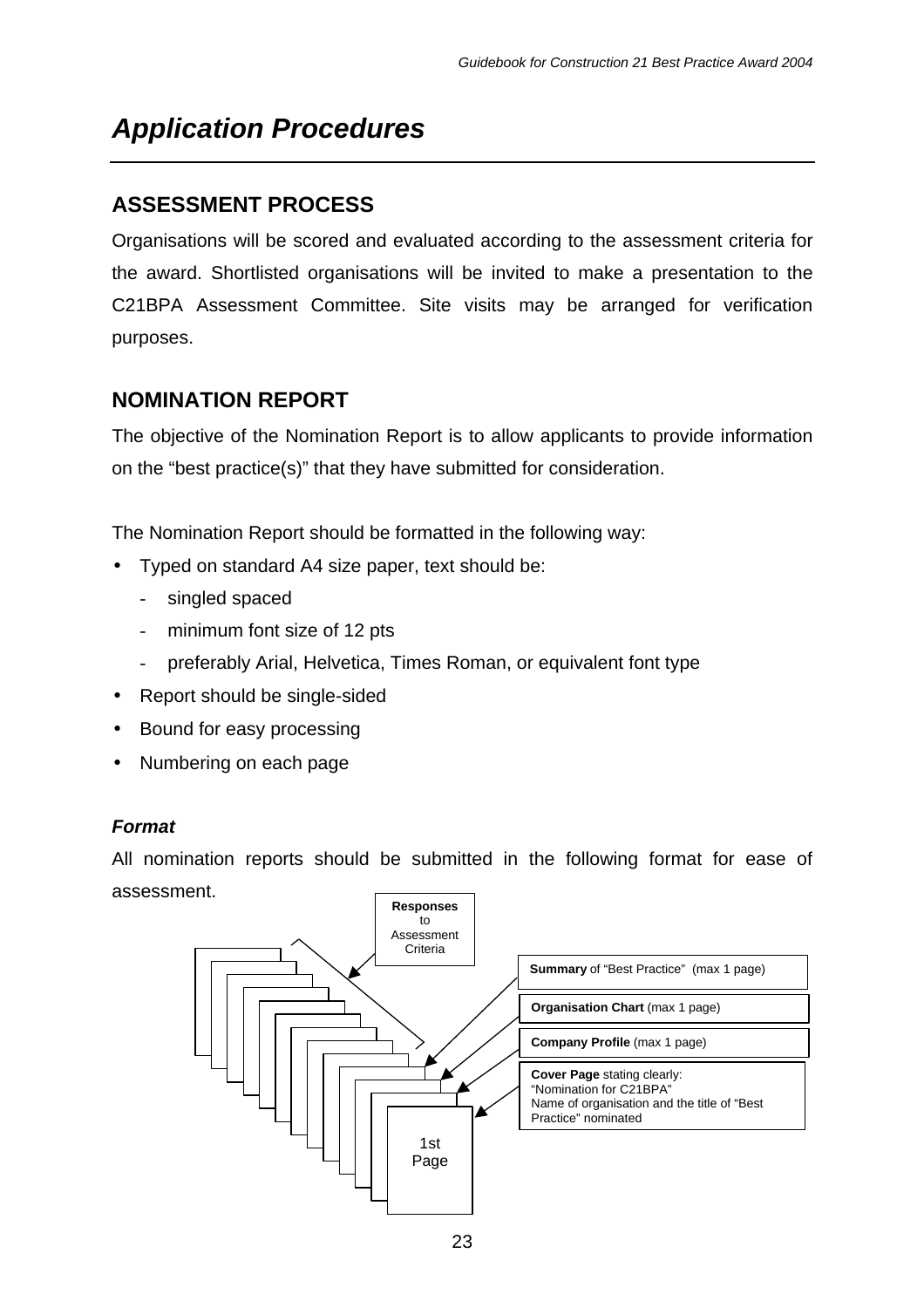## **ASSESSMENT PROCESS**

Organisations will be scored and evaluated according to the assessment criteria for the award. Shortlisted organisations will be invited to make a presentation to the C21BPA Assessment Committee. Site visits may be arranged for verification purposes.

## **NOMINATION REPORT**

The objective of the Nomination Report is to allow applicants to provide information on the "best practice(s)" that they have submitted for consideration.

The Nomination Report should be formatted in the following way:

- Typed on standard A4 size paper, text should be:
	- singled spaced
	- minimum font size of 12 pts
	- preferably Arial, Helvetica, Times Roman, or equivalent font type
- Report should be single-sided
- Bound for easy processing
- Numbering on each page

#### *Format*

All nomination reports should be submitted in the following format for ease of assessment.

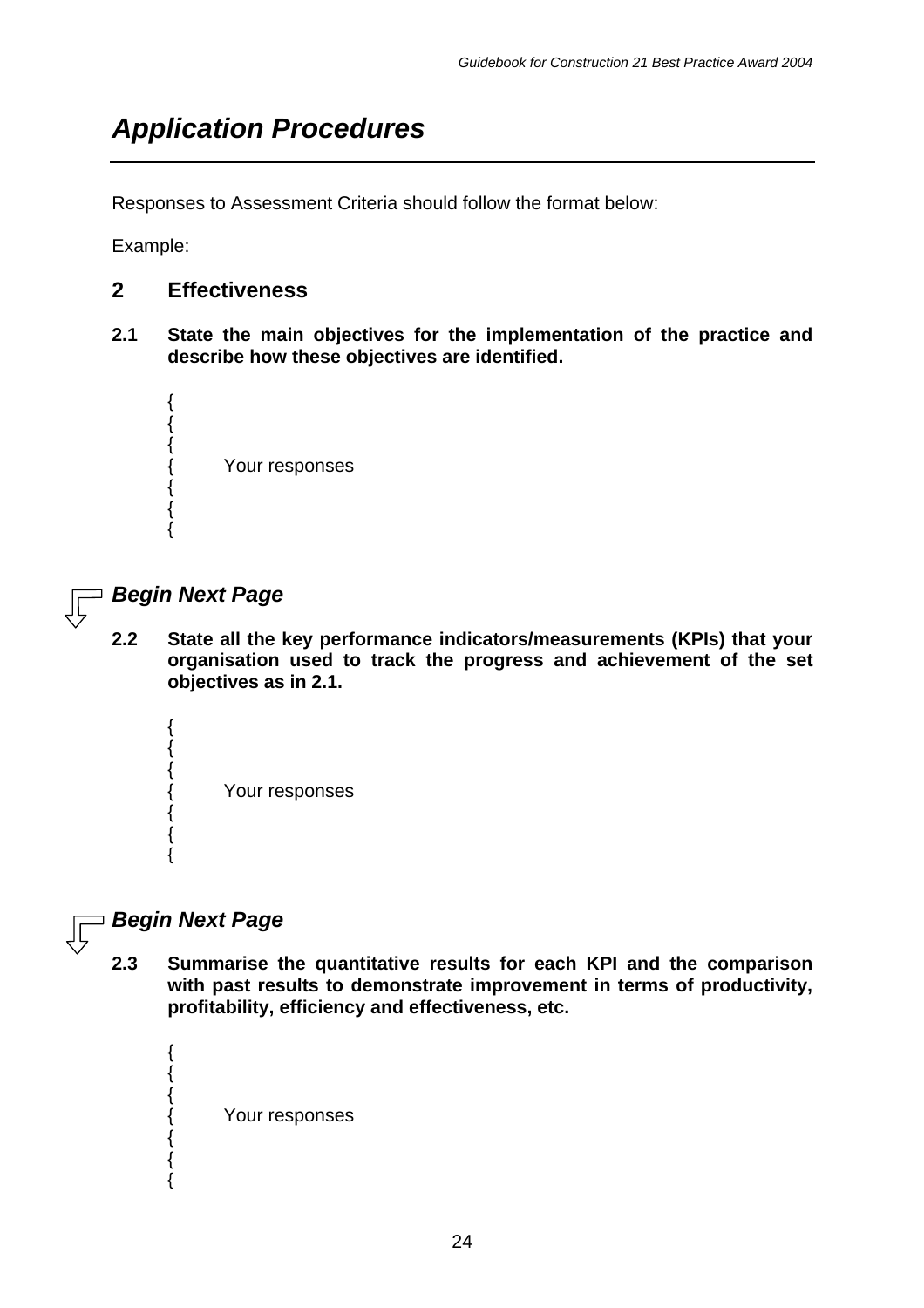Responses to Assessment Criteria should follow the format below:

Example:

#### **2 Effectiveness**

**2.1 State the main objectives for the implementation of the practice and describe how these objectives are identified.**



### *Begin Next Page*

**2.2 State all the key performance indicators/measurements (KPIs) that your organisation used to track the progress and achievement of the set objectives as in 2.1.**

{ { { Your responses { { {

## *Begin Next Page*

{ { {

{ { {

**2.3 Summarise the quantitative results for each KPI and the comparison with past results to demonstrate improvement in terms of productivity, profitability, efficiency and effectiveness, etc.**

Your responses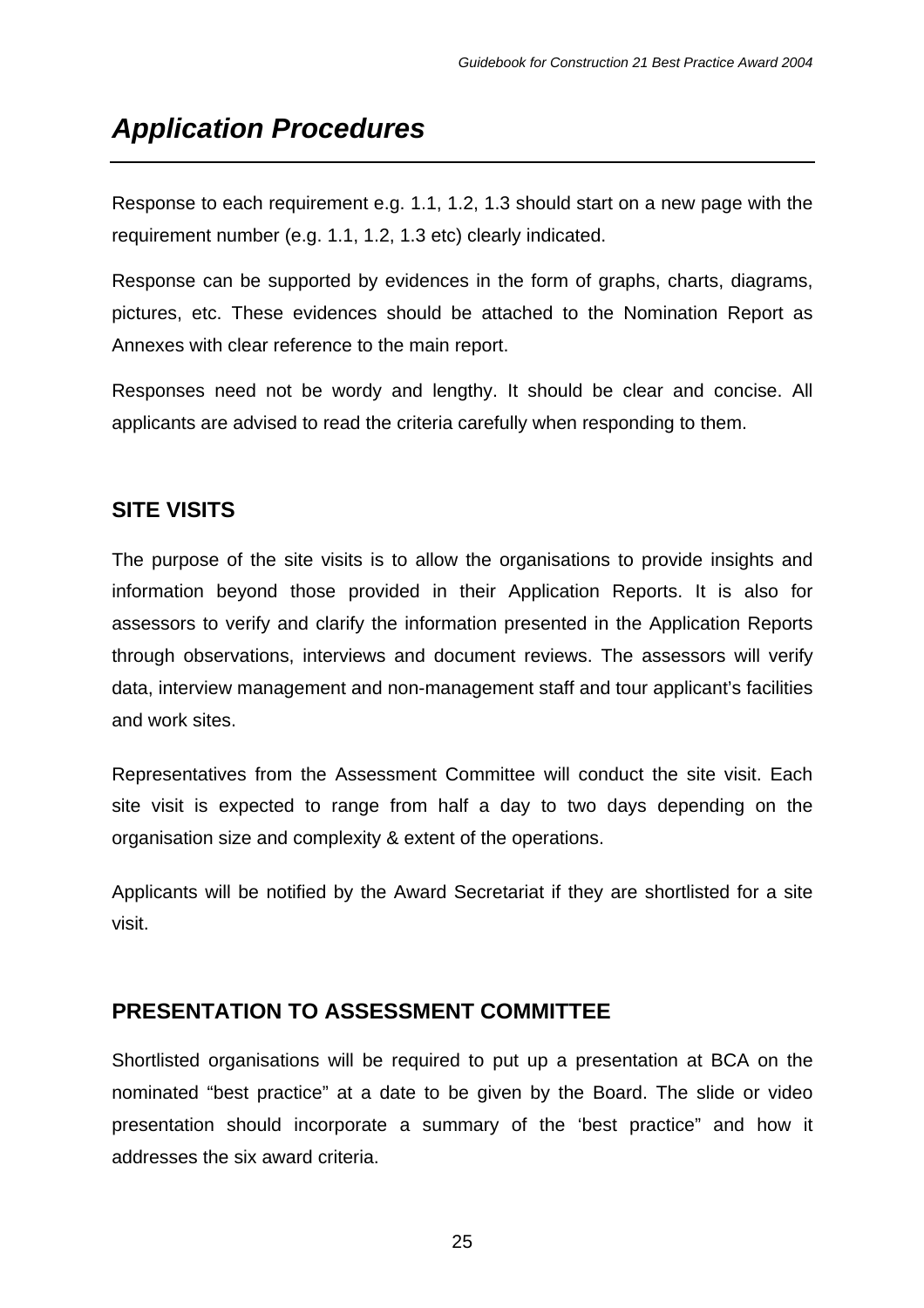Response to each requirement e.g. 1.1, 1.2, 1.3 should start on a new page with the requirement number (e.g. 1.1, 1.2, 1.3 etc) clearly indicated.

Response can be supported by evidences in the form of graphs, charts, diagrams, pictures, etc. These evidences should be attached to the Nomination Report as Annexes with clear reference to the main report.

Responses need not be wordy and lengthy. It should be clear and concise. All applicants are advised to read the criteria carefully when responding to them.

## **SITE VISITS**

The purpose of the site visits is to allow the organisations to provide insights and information beyond those provided in their Application Reports. It is also for assessors to verify and clarify the information presented in the Application Reports through observations, interviews and document reviews. The assessors will verify data, interview management and non-management staff and tour applicant's facilities and work sites.

Representatives from the Assessment Committee will conduct the site visit. Each site visit is expected to range from half a day to two days depending on the organisation size and complexity & extent of the operations.

Applicants will be notified by the Award Secretariat if they are shortlisted for a site visit.

## **PRESENTATION TO ASSESSMENT COMMITTEE**

Shortlisted organisations will be required to put up a presentation at BCA on the nominated "best practice" at a date to be given by the Board. The slide or video presentation should incorporate a summary of the 'best practice" and how it addresses the six award criteria.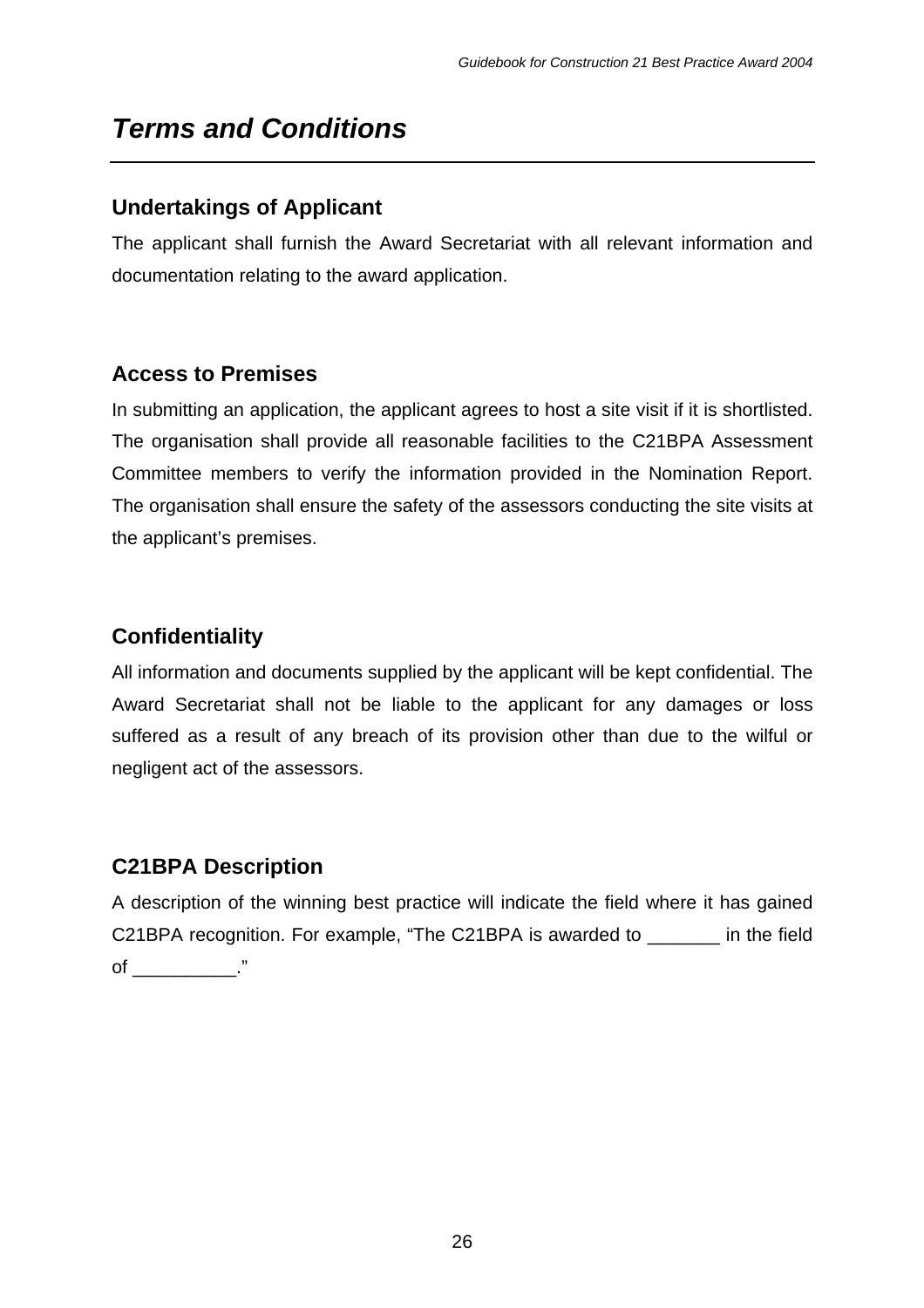# *Terms and Conditions*

## **Undertakings of Applicant**

The applicant shall furnish the Award Secretariat with all relevant information and documentation relating to the award application.

## **Access to Premises**

In submitting an application, the applicant agrees to host a site visit if it is shortlisted. The organisation shall provide all reasonable facilities to the C21BPA Assessment Committee members to verify the information provided in the Nomination Report. The organisation shall ensure the safety of the assessors conducting the site visits at the applicant's premises.

## **Confidentiality**

All information and documents supplied by the applicant will be kept confidential. The Award Secretariat shall not be liable to the applicant for any damages or loss suffered as a result of any breach of its provision other than due to the wilful or negligent act of the assessors.

## **C21BPA Description**

A description of the winning best practice will indicate the field where it has gained C21BPA recognition. For example, "The C21BPA is awarded to \_\_\_\_\_\_\_ in the field of \_\_\_\_\_\_\_\_\_\_\_\_\_."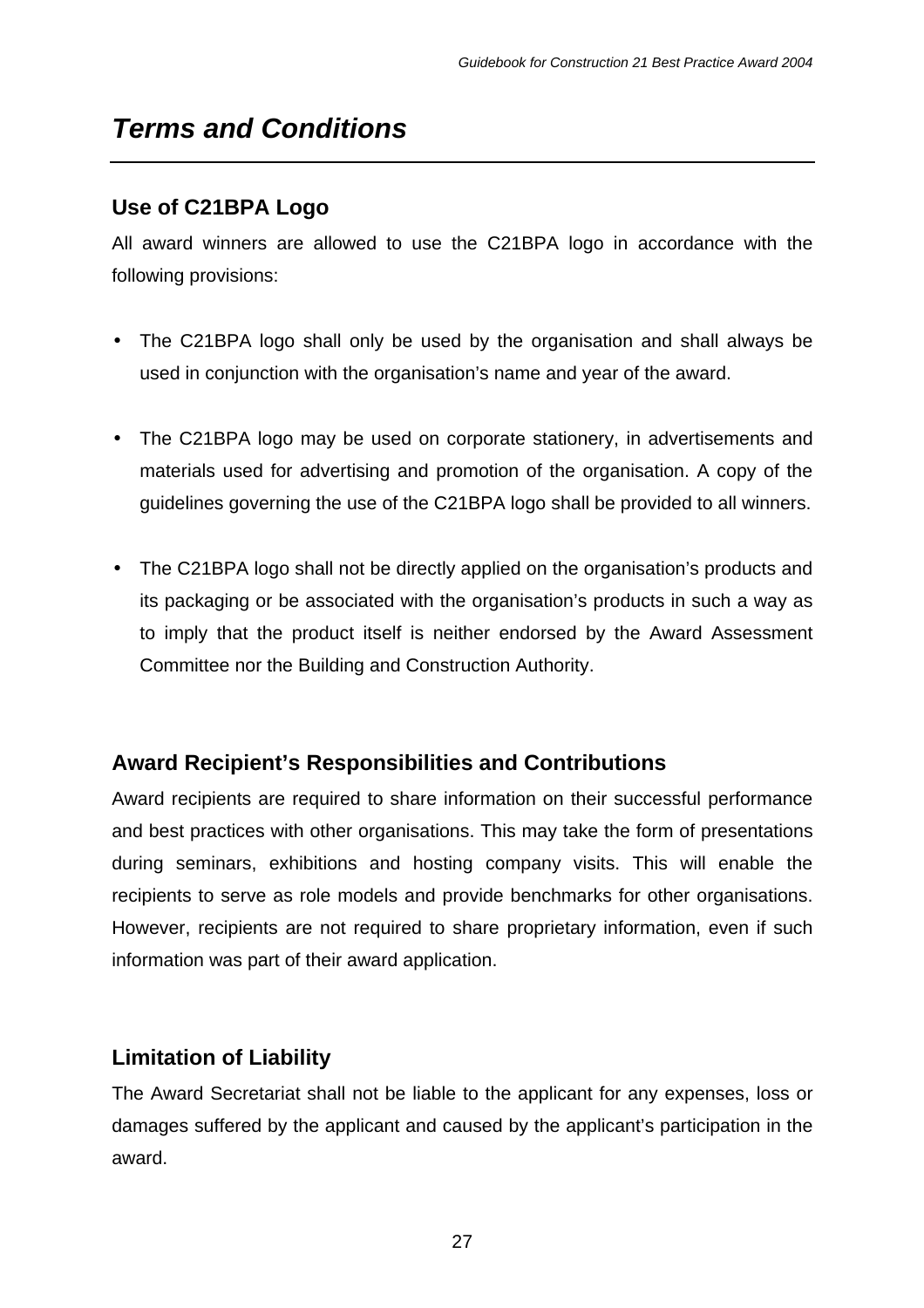# *Terms and Conditions*

## **Use of C21BPA Logo**

All award winners are allowed to use the C21BPA logo in accordance with the following provisions:

- The C21BPA logo shall only be used by the organisation and shall always be used in conjunction with the organisation's name and year of the award.
- The C21BPA logo may be used on corporate stationery, in advertisements and materials used for advertising and promotion of the organisation. A copy of the guidelines governing the use of the C21BPA logo shall be provided to all winners.
- The C21BPA logo shall not be directly applied on the organisation's products and its packaging or be associated with the organisation's products in such a way as to imply that the product itself is neither endorsed by the Award Assessment Committee nor the Building and Construction Authority.

## **Award Recipient's Responsibilities and Contributions**

Award recipients are required to share information on their successful performance and best practices with other organisations. This may take the form of presentations during seminars, exhibitions and hosting company visits. This will enable the recipients to serve as role models and provide benchmarks for other organisations. However, recipients are not required to share proprietary information, even if such information was part of their award application.

## **Limitation of Liability**

The Award Secretariat shall not be liable to the applicant for any expenses, loss or damages suffered by the applicant and caused by the applicant's participation in the award.